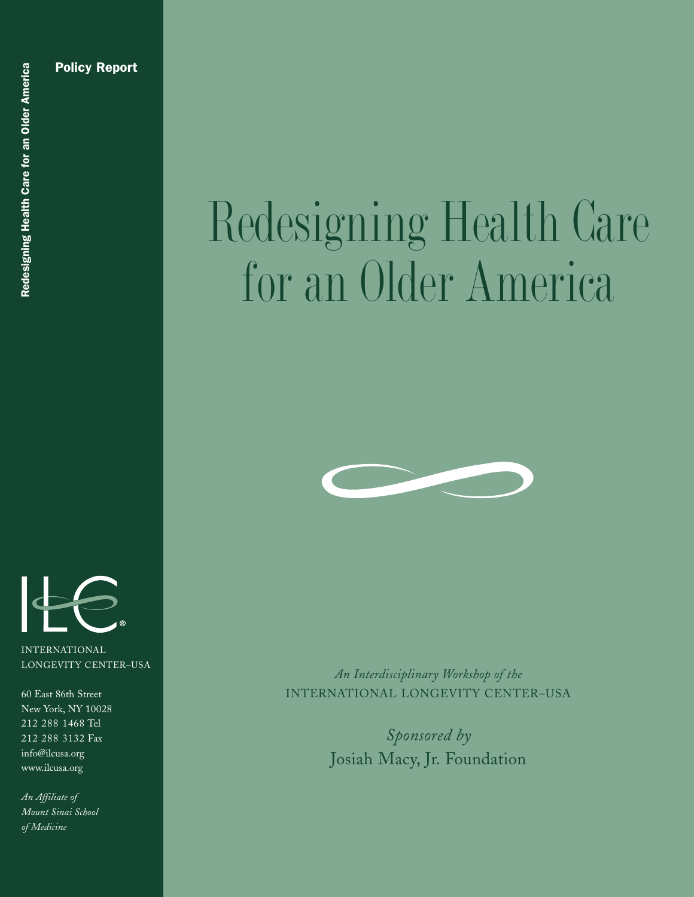

INTERNATIONAL LONGEVITY CENTER–USA

60 East 86th Street New York, NY 10028 212 288 1468 Tel 212 288 3132 Fax info@ilcusa.org www.ilcusa.org

*An Affiliate of Mount Sinai School of Medicine*

# Redesigning Health Care for an Older America



*An Interdisciplinary Workshop of the* INTERNATIONAL LONGEVITY CENTER–USA

> *Sponsored by* Josiah Macy, Jr. Foundation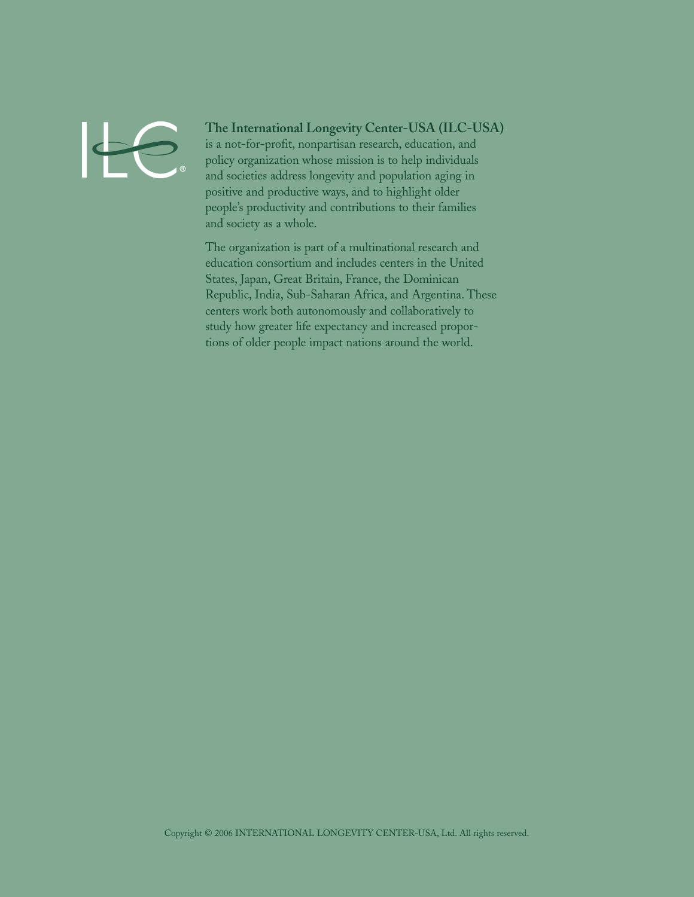

#### **The International Longevity Center-USA (ILC-USA)**

is a not-for-profit, nonpartisan research, education, and policy organization whose mission is to help individuals and societies address longevity and population aging in positive and productive ways, and to highlight older people's productivity and contributions to their families and society as a whole.

The organization is part of a multinational research and education consortium and includes centers in the United States, Japan, Great Britain, France, the Dominican Republic, India, Sub-Saharan Africa, and Argentina. These centers work both autonomously and collaboratively to study how greater life expectancy and increased proportions of older people impact nations around the world.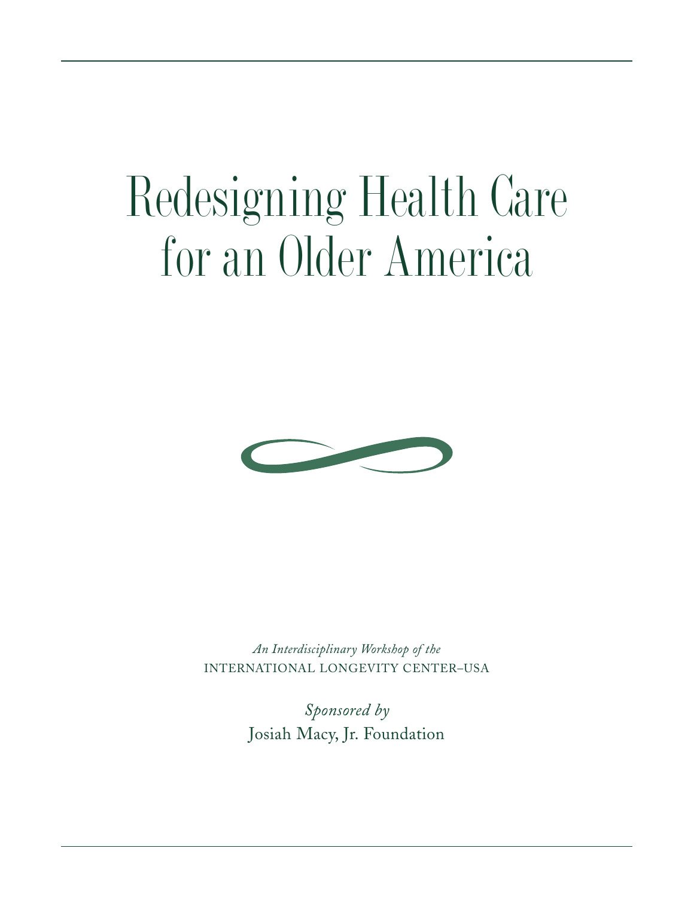## Redesigning Health Care for an Older America



*An Interdisciplinary Workshop of the* INTERNATIONAL LONGEVITY CENTER–USA

> *Sponsored by* Josiah Macy, Jr. Foundation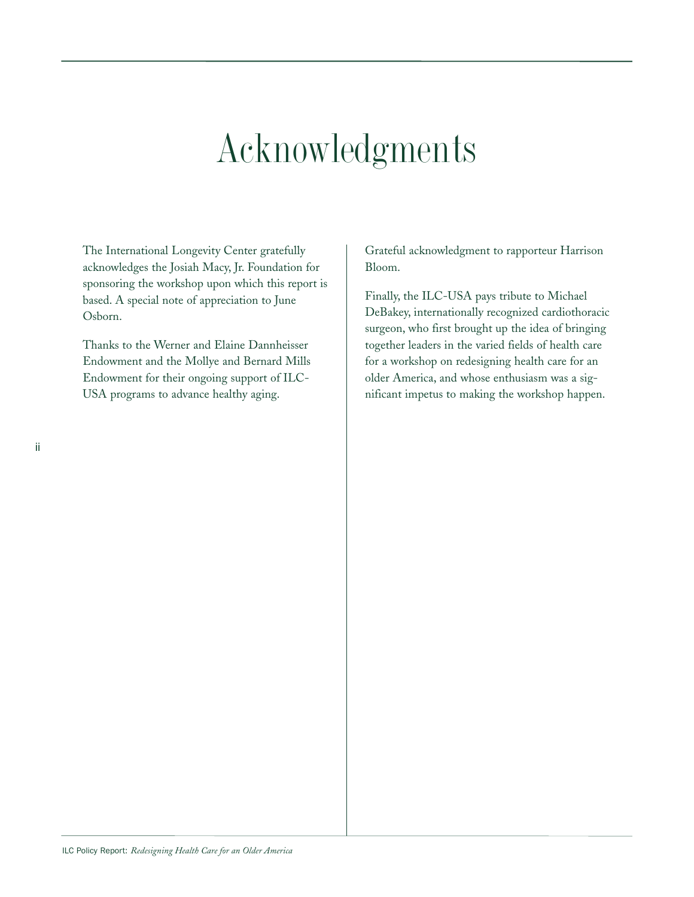### Acknowledgments

The International Longevity Center gratefully acknowledges the Josiah Macy, Jr. Foundation for sponsoring the workshop upon which this report is based. A special note of appreciation to June Osborn.

Thanks to the Werner and Elaine Dannheisser Endowment and the Mollye and Bernard Mills Endowment for their ongoing support of ILC-USA programs to advance healthy aging.

Grateful acknowledgment to rapporteur Harrison Bloom.

Finally, the ILC-USA pays tribute to Michael DeBakey, internationally recognized cardiothoracic surgeon, who first brought up the idea of bringing together leaders in the varied fields of health care for a workshop on redesigning health care for an older America, and whose enthusiasm was a significant impetus to making the workshop happen.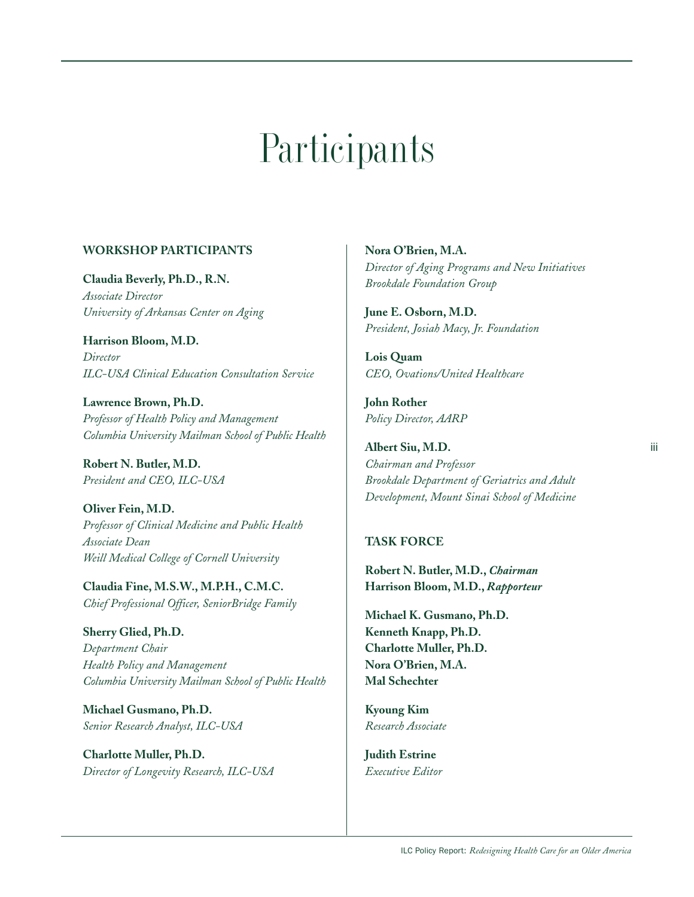## **Participants**

#### **WORKSHOP PARTICIPANTS**

**Claudia Beverly, Ph.D., R.N.** *Associate Director University of Arkansas Center on Aging*

**Harrison Bloom, M.D.** *Director ILC-USA Clinical Education Consultation Service*

**Lawrence Brown, Ph.D.** *Professor of Health Policy and Management Columbia University Mailman School of Public Health*

**Robert N. Butler, M.D.** *President and CEO, ILC-USA*

**Oliver Fein, M.D.** *Professor of Clinical Medicine and Public Health Associate Dean Weill Medical College of Cornell University*

**Claudia Fine, M.S.W., M.P.H., C.M.C.** *Chief Professional Officer, SeniorBridge Family*

**Sherry Glied, Ph.D.** *Department Chair Health Policy and Management Columbia University Mailman School of Public Health*

**Michael Gusmano, Ph.D.** *Senior Research Analyst, ILC-USA*

**Charlotte Muller, Ph.D.** *Director of Longevity Research, ILC-USA*  **Nora O'Brien, M.A.** *Director of Aging Programs and New Initiatives Brookdale Foundation Group*

**June E. Osborn, M.D.** *President, Josiah Macy, Jr. Foundation*

**Lois Quam** *CEO, Ovations/United Healthcare*

**John Rother** *Policy Director, AARP*

**Albert Siu, M.D.** *Chairman and Professor Brookdale Department of Geriatrics and Adult Development, Mount Sinai School of Medicine*

#### **TASK FORCE**

**Robert N. Butler, M.D.,** *Chairman* **Harrison Bloom, M.D.,** *Rapporteur*

**Michael K. Gusmano, Ph.D. Kenneth Knapp, Ph.D. Charlotte Muller, Ph.D. Nora O'Brien, M.A. Mal Schechter** 

**Kyoung Kim** *Research Associate*

**Judith Estrine** *Executive Editor*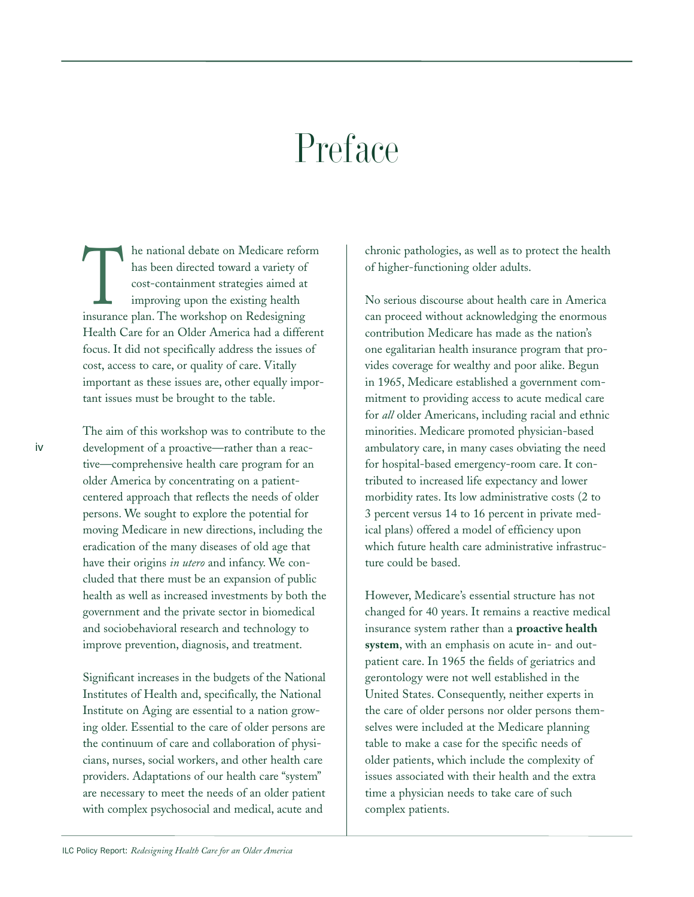### Preface

The national debate on Medicare reform<br>has been directed toward a variety of<br>cost-containment strategies aimed at<br>improving upon the existing health<br>insurance plan. The workshop on Redesigning has been directed toward a variety of cost-containment strategies aimed at improving upon the existing health Health Care for an Older America had a different focus. It did not specifically address the issues of cost, access to care, or quality of care. Vitally important as these issues are, other equally important issues must be brought to the table.

The aim of this workshop was to contribute to the development of a proactive—rather than a reactive—comprehensive health care program for an older America by concentrating on a patientcentered approach that reflects the needs of older persons. We sought to explore the potential for moving Medicare in new directions, including the eradication of the many diseases of old age that have their origins *in utero* and infancy. We concluded that there must be an expansion of public health as well as increased investments by both the government and the private sector in biomedical and sociobehavioral research and technology to improve prevention, diagnosis, and treatment.

Significant increases in the budgets of the National Institutes of Health and, specifically, the National Institute on Aging are essential to a nation growing older. Essential to the care of older persons are the continuum of care and collaboration of physicians, nurses, social workers, and other health care providers. Adaptations of our health care "system" are necessary to meet the needs of an older patient with complex psychosocial and medical, acute and

chronic pathologies, as well as to protect the health of higher-functioning older adults.

No serious discourse about health care in America can proceed without acknowledging the enormous contribution Medicare has made as the nation's one egalitarian health insurance program that provides coverage for wealthy and poor alike. Begun in 1965, Medicare established a government commitment to providing access to acute medical care for *all* older Americans, including racial and ethnic minorities. Medicare promoted physician-based ambulatory care, in many cases obviating the need for hospital-based emergency-room care. It contributed to increased life expectancy and lower morbidity rates. Its low administrative costs (2 to 3 percent versus 14 to 16 percent in private medical plans) offered a model of efficiency upon which future health care administrative infrastructure could be based.

However, Medicare's essential structure has not changed for 40 years. It remains a reactive medical insurance system rather than a **proactive health system**, with an emphasis on acute in- and outpatient care. In 1965 the fields of geriatrics and gerontology were not well established in the United States. Consequently, neither experts in the care of older persons nor older persons themselves were included at the Medicare planning table to make a case for the specific needs of older patients, which include the complexity of issues associated with their health and the extra time a physician needs to take care of such complex patients.

iv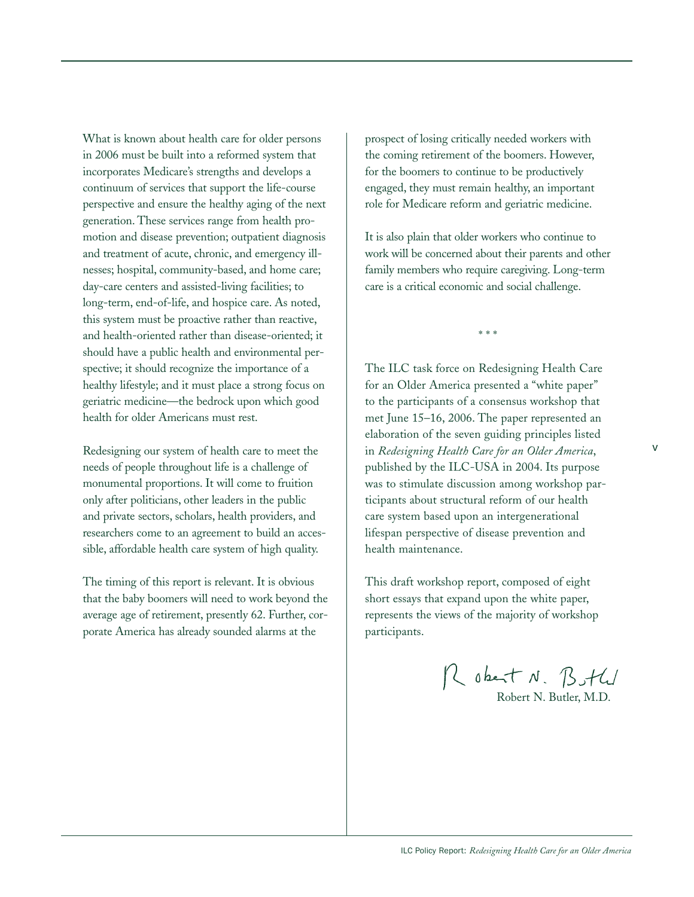What is known about health care for older persons in 2006 must be built into a reformed system that incorporates Medicare's strengths and develops a continuum of services that support the life-course perspective and ensure the healthy aging of the next generation. These services range from health promotion and disease prevention; outpatient diagnosis and treatment of acute, chronic, and emergency illnesses; hospital, community-based, and home care; day-care centers and assisted-living facilities; to long-term, end-of-life, and hospice care. As noted, this system must be proactive rather than reactive, and health-oriented rather than disease-oriented; it should have a public health and environmental perspective; it should recognize the importance of a healthy lifestyle; and it must place a strong focus on geriatric medicine—the bedrock upon which good health for older Americans must rest.

Redesigning our system of health care to meet the needs of people throughout life is a challenge of monumental proportions. It will come to fruition only after politicians, other leaders in the public and private sectors, scholars, health providers, and researchers come to an agreement to build an accessible, affordable health care system of high quality.

The timing of this report is relevant. It is obvious that the baby boomers will need to work beyond the average age of retirement, presently 62. Further, corporate America has already sounded alarms at the

prospect of losing critically needed workers with the coming retirement of the boomers. However, for the boomers to continue to be productively engaged, they must remain healthy, an important role for Medicare reform and geriatric medicine.

It is also plain that older workers who continue to work will be concerned about their parents and other family members who require caregiving. Long-term care is a critical economic and social challenge.

\* \* \*

The ILC task force on Redesigning Health Care for an Older America presented a "white paper" to the participants of a consensus workshop that met June 15–16, 2006. The paper represented an elaboration of the seven guiding principles listed in *Redesigning Health Care for an Older America*, published by the ILC-USA in 2004. Its purpose was to stimulate discussion among workshop participants about structural reform of our health care system based upon an intergenerational lifespan perspective of disease prevention and health maintenance.

This draft workshop report, composed of eight short essays that expand upon the white paper, represents the views of the majority of workshop participants.

Robert N. Both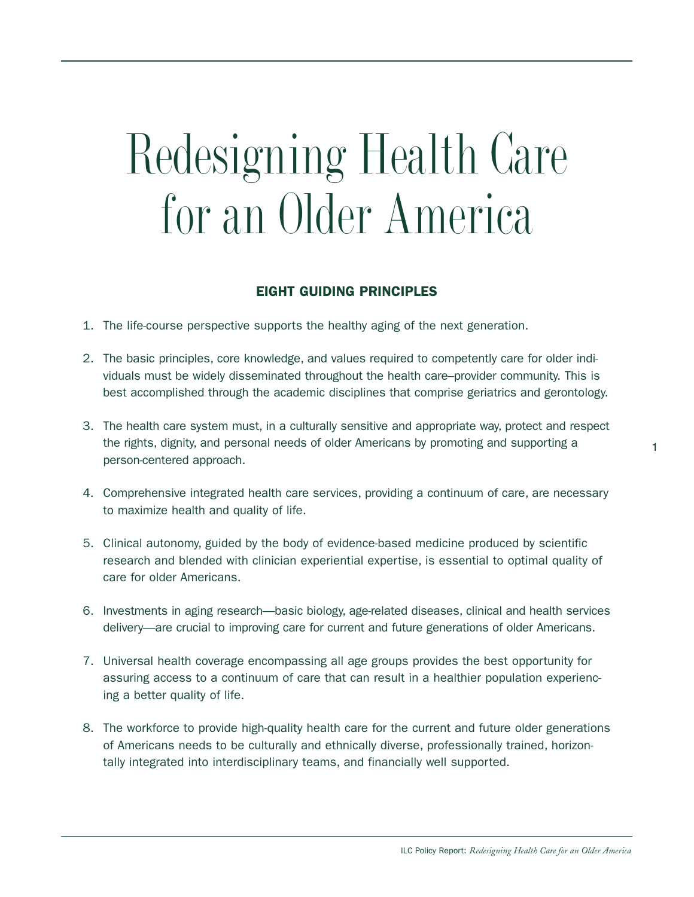## Redesigning Health Care for an Older America

#### **EIGHT GUIDING PRINCIPLES**

- 1. The life-course perspective supports the healthy aging of the next generation.
- 2. The basic principles, core knowledge, and values required to competently care for older individuals must be widely disseminated throughout the health care–provider community. This is best accomplished through the academic disciplines that comprise geriatrics and gerontology.
- 3. The health care system must, in a culturally sensitive and appropriate way, protect and respect the rights, dignity, and personal needs of older Americans by promoting and supporting a person-centered approach.
- 4. Comprehensive integrated health care services, providing a continuum of care, are necessary to maximize health and quality of life.
- 5. Clinical autonomy, guided by the body of evidence-based medicine produced by scientific research and blended with clinician experiential expertise, is essential to optimal quality of care for older Americans.
- 6. Investments in aging research—basic biology, age-related diseases, clinical and health services delivery—are crucial to improving care for current and future generations of older Americans.
- 7. Universal health coverage encompassing all age groups provides the best opportunity for assuring access to a continuum of care that can result in a healthier population experiencing a better quality of life.
- 8. The workforce to provide high-quality health care for the current and future older generations of Americans needs to be culturally and ethnically diverse, professionally trained, horizontally integrated into interdisciplinary teams, and financially well supported.

1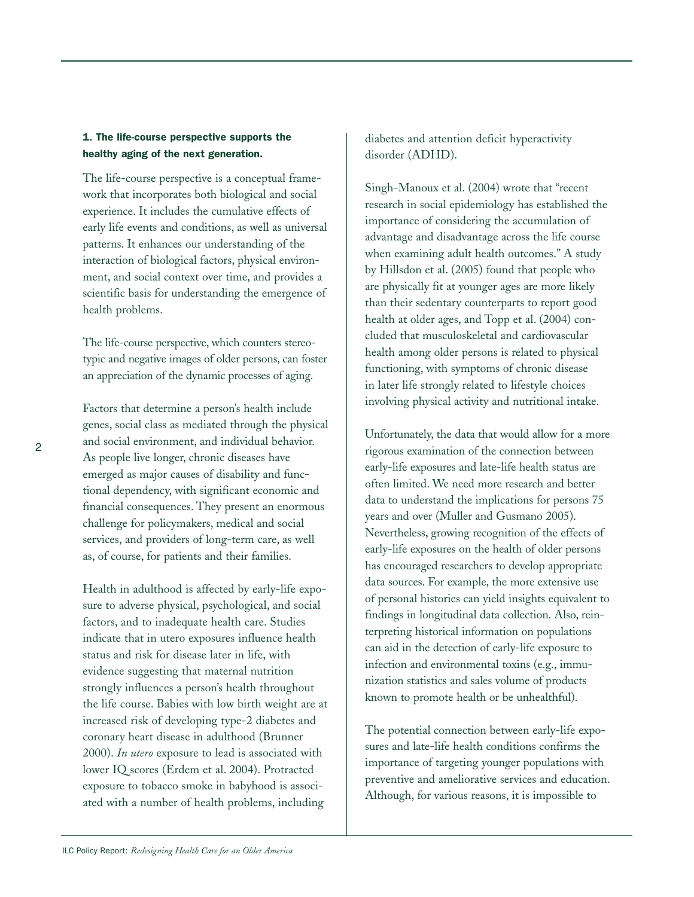#### **1. The life-course perspective supports the healthy aging of the next generation.**

The life-course perspective is a conceptual framework that incorporates both biological and social experience. It includes the cumulative effects of early life events and conditions, as well as universal patterns. It enhances our understanding of the interaction of biological factors, physical environment, and social context over time, and provides a scientific basis for understanding the emergence of health problems.

The life-course perspective, which counters stereotypic and negative images of older persons, can foster an appreciation of the dynamic processes of aging.

Factors that determine a person's health include genes, social class as mediated through the physical and social environment, and individual behavior. As people live longer, chronic diseases have emerged as major causes of disability and functional dependency, with significant economic and financial consequences. They present an enormous challenge for policymakers, medical and social services, and providers of long-term care, as well as, of course, for patients and their families.

Health in adulthood is affected by early-life exposure to adverse physical, psychological, and social factors, and to inadequate health care. Studies indicate that in utero exposures influence health status and risk for disease later in life, with evidence suggesting that maternal nutrition strongly influences a person's health throughout the life course. Babies with low birth weight are at increased risk of developing type-2 diabetes and coronary heart disease in adulthood (Brunner 2000). *In utero* exposure to lead is associated with lower IQ scores (Erdem et al. 2004). Protracted exposure to tobacco smoke in babyhood is associated with a number of health problems, including

diabetes and attention deficit hyperactivity disorder (ADHD).

Singh-Manoux et al. (2004) wrote that "recent research in social epidemiology has established the importance of considering the accumulation of advantage and disadvantage across the life course when examining adult health outcomes." A study by Hillsdon et al. (2005) found that people who are physically fit at younger ages are more likely than their sedentary counterparts to report good health at older ages, and Topp et al. (2004) concluded that musculoskeletal and cardiovascular health among older persons is related to physical functioning, with symptoms of chronic disease in later life strongly related to lifestyle choices involving physical activity and nutritional intake.

Unfortunately, the data that would allow for a more rigorous examination of the connection between early-life exposures and late-life health status are often limited. We need more research and better data to understand the implications for persons 75 years and over (Muller and Gusmano 2005). Nevertheless, growing recognition of the effects of early-life exposures on the health of older persons has encouraged researchers to develop appropriate data sources. For example, the more extensive use of personal histories can yield insights equivalent to findings in longitudinal data collection. Also, reinterpreting historical information on populations can aid in the detection of early-life exposure to infection and environmental toxins (e.g., immunization statistics and sales volume of products known to promote health or be unhealthful).

The potential connection between early-life exposures and late-life health conditions confirms the importance of targeting younger populations with preventive and ameliorative services and education. Although, for various reasons, it is impossible to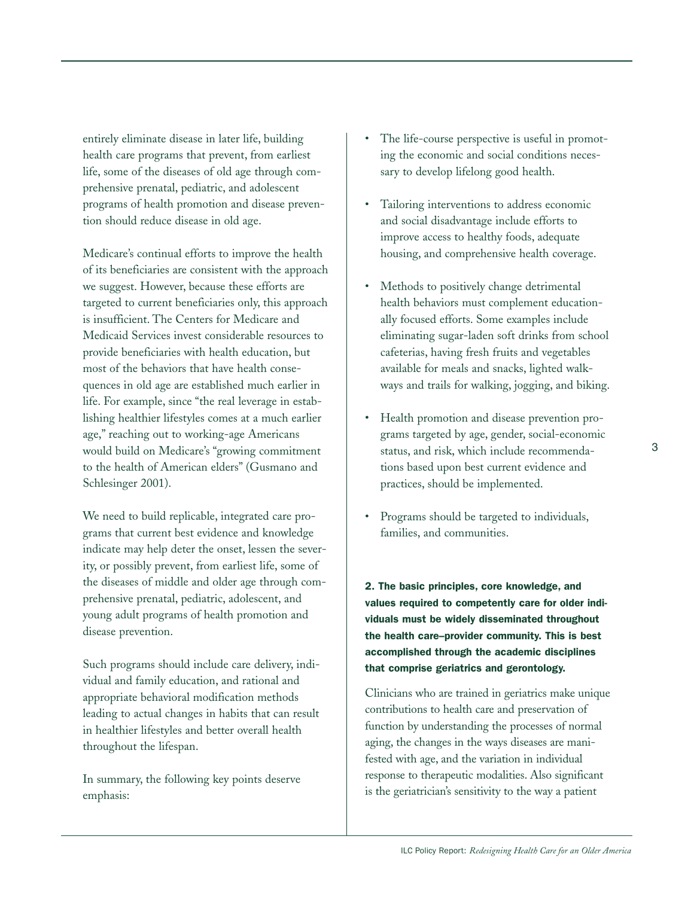entirely eliminate disease in later life, building health care programs that prevent, from earliest life, some of the diseases of old age through comprehensive prenatal, pediatric, and adolescent programs of health promotion and disease prevention should reduce disease in old age.

Medicare's continual efforts to improve the health of its beneficiaries are consistent with the approach we suggest. However, because these efforts are targeted to current beneficiaries only, this approach is insufficient. The Centers for Medicare and Medicaid Services invest considerable resources to provide beneficiaries with health education, but most of the behaviors that have health consequences in old age are established much earlier in life. For example, since "the real leverage in establishing healthier lifestyles comes at a much earlier age," reaching out to working-age Americans would build on Medicare's "growing commitment to the health of American elders" (Gusmano and Schlesinger 2001).

We need to build replicable, integrated care programs that current best evidence and knowledge indicate may help deter the onset, lessen the severity, or possibly prevent, from earliest life, some of the diseases of middle and older age through comprehensive prenatal, pediatric, adolescent, and young adult programs of health promotion and disease prevention.

Such programs should include care delivery, individual and family education, and rational and appropriate behavioral modification methods leading to actual changes in habits that can result in healthier lifestyles and better overall health throughout the lifespan.

In summary, the following key points deserve emphasis:

- The life-course perspective is useful in promoting the economic and social conditions necessary to develop lifelong good health.
- Tailoring interventions to address economic and social disadvantage include efforts to improve access to healthy foods, adequate housing, and comprehensive health coverage.
- Methods to positively change detrimental health behaviors must complement educationally focused efforts. Some examples include eliminating sugar-laden soft drinks from school cafeterias, having fresh fruits and vegetables available for meals and snacks, lighted walkways and trails for walking, jogging, and biking.
- Health promotion and disease prevention programs targeted by age, gender, social-economic status, and risk, which include recommendations based upon best current evidence and practices, should be implemented.
- Programs should be targeted to individuals, families, and communities.

**2. The basic principles, core knowledge, and values required to competently care for older individuals must be widely disseminated throughout the health care–provider community. This is best accomplished through the academic disciplines that comprise geriatrics and gerontology.**

Clinicians who are trained in geriatrics make unique contributions to health care and preservation of function by understanding the processes of normal aging, the changes in the ways diseases are manifested with age, and the variation in individual response to therapeutic modalities. Also significant is the geriatrician's sensitivity to the way a patient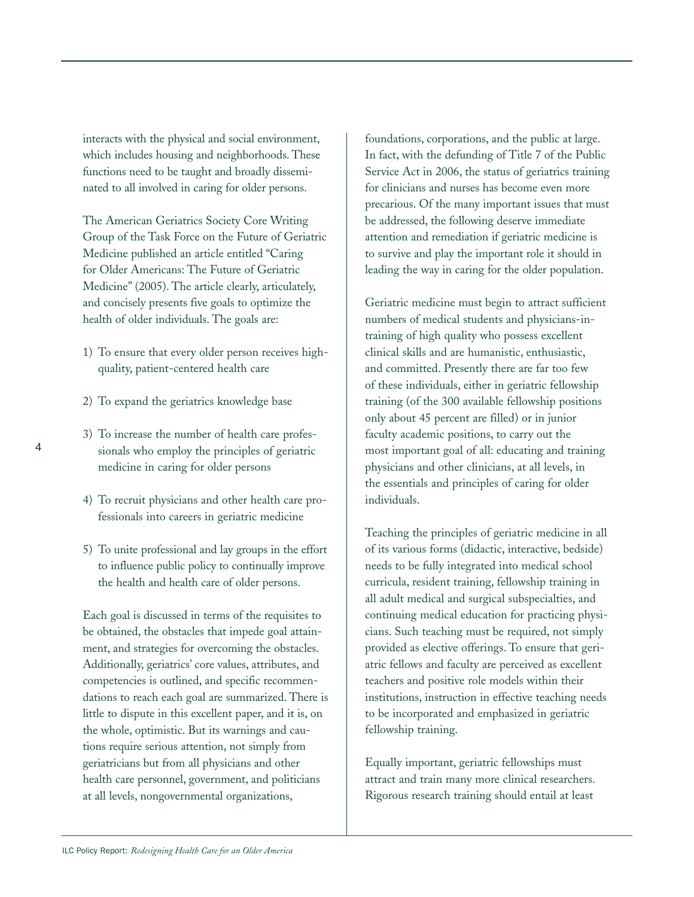interacts with the physical and social environment, which includes housing and neighborhoods. These functions need to be taught and broadly disseminated to all involved in caring for older persons.

The American Geriatrics Society Core Writing Group of the Task Force on the Future of Geriatric Medicine published an article entitled "Caring for Older Americans: The Future of Geriatric Medicine" (2005). The article clearly, articulately, and concisely presents five goals to optimize the health of older individuals. The goals are:

- 1) To ensure that every older person receives highquality, patient-centered health care
- 2) To expand the geriatrics knowledge base
- 3) To increase the number of health care professionals who employ the principles of geriatric medicine in caring for older persons
- 4) To recruit physicians and other health care professionals into careers in geriatric medicine
- 5) To unite professional and lay groups in the effort to influence public policy to continually improve the health and health care of older persons.

Each goal is discussed in terms of the requisites to be obtained, the obstacles that impede goal attainment, and strategies for overcoming the obstacles. Additionally, geriatrics' core values, attributes, and competencies is outlined, and specific recommendations to reach each goal are summarized. There is little to dispute in this excellent paper, and it is, on the whole, optimistic. But its warnings and cautions require serious attention, not simply from geriatricians but from all physicians and other health care personnel, government, and politicians at all levels, nongovernmental organizations,

foundations, corporations, and the public at large. In fact, with the defunding of Title 7 of the Public Service Act in 2006, the status of geriatrics training for clinicians and nurses has become even more precarious. Of the many important issues that must be addressed, the following deserve immediate attention and remediation if geriatric medicine is to survive and play the important role it should in leading the way in caring for the older population.

Geriatric medicine must begin to attract sufficient numbers of medical students and physicians-intraining of high quality who possess excellent clinical skills and are humanistic, enthusiastic, and committed. Presently there are far too few of these individuals, either in geriatric fellowship training (of the 300 available fellowship positions only about 45 percent are filled) or in junior faculty academic positions, to carry out the most important goal of all: educating and training physicians and other clinicians, at all levels, in the essentials and principles of caring for older individuals.

Teaching the principles of geriatric medicine in all of its various forms (didactic, interactive, bedside) needs to be fully integrated into medical school curricula, resident training, fellowship training in all adult medical and surgical subspecialties, and continuing medical education for practicing physicians. Such teaching must be required, not simply provided as elective offerings. To ensure that geriatric fellows and faculty are perceived as excellent teachers and positive role models within their institutions, instruction in effective teaching needs to be incorporated and emphasized in geriatric fellowship training.

Equally important, geriatric fellowships must attract and train many more clinical researchers. Rigorous research training should entail at least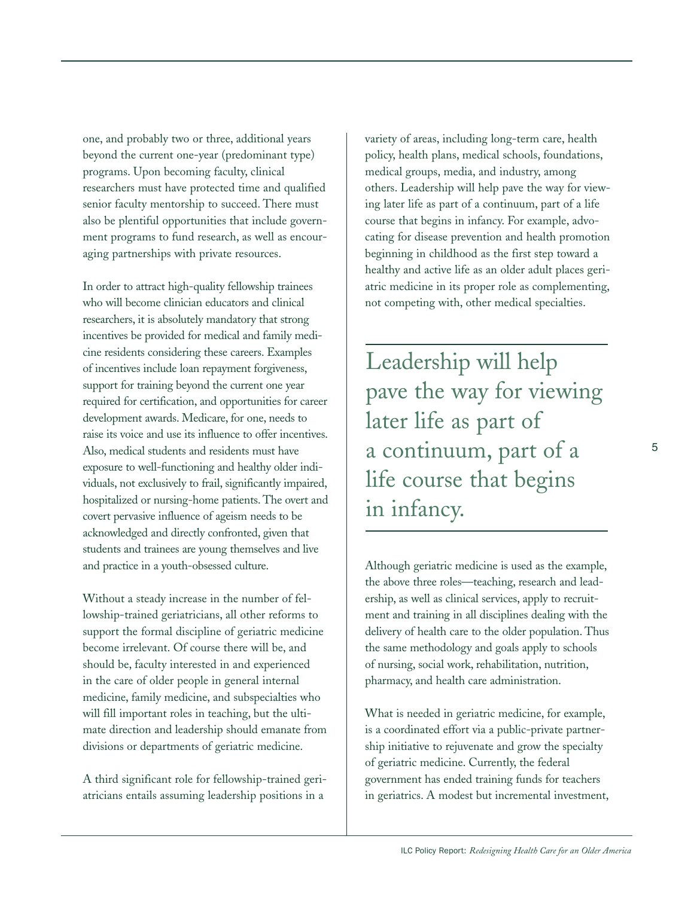one, and probably two or three, additional years beyond the current one-year (predominant type) programs. Upon becoming faculty, clinical researchers must have protected time and qualified senior faculty mentorship to succeed. There must also be plentiful opportunities that include government programs to fund research, as well as encouraging partnerships with private resources.

In order to attract high-quality fellowship trainees who will become clinician educators and clinical researchers, it is absolutely mandatory that strong incentives be provided for medical and family medicine residents considering these careers. Examples of incentives include loan repayment forgiveness, support for training beyond the current one year required for certification, and opportunities for career development awards. Medicare, for one, needs to raise its voice and use its influence to offer incentives. Also, medical students and residents must have exposure to well-functioning and healthy older individuals, not exclusively to frail, significantly impaired, hospitalized or nursing-home patients. The overt and covert pervasive influence of ageism needs to be acknowledged and directly confronted, given that students and trainees are young themselves and live and practice in a youth-obsessed culture.

Without a steady increase in the number of fellowship-trained geriatricians, all other reforms to support the formal discipline of geriatric medicine become irrelevant. Of course there will be, and should be, faculty interested in and experienced in the care of older people in general internal medicine, family medicine, and subspecialties who will fill important roles in teaching, but the ultimate direction and leadership should emanate from divisions or departments of geriatric medicine.

A third significant role for fellowship-trained geriatricians entails assuming leadership positions in a

variety of areas, including long-term care, health policy, health plans, medical schools, foundations, medical groups, media, and industry, among others. Leadership will help pave the way for viewing later life as part of a continuum, part of a life course that begins in infancy. For example, advocating for disease prevention and health promotion beginning in childhood as the first step toward a healthy and active life as an older adult places geriatric medicine in its proper role as complementing, not competing with, other medical specialties.

Leadership will help pave the way for viewing later life as part of a continuum, part of a life course that begins in infancy.

Although geriatric medicine is used as the example, the above three roles—teaching, research and leadership, as well as clinical services, apply to recruitment and training in all disciplines dealing with the delivery of health care to the older population. Thus the same methodology and goals apply to schools of nursing, social work, rehabilitation, nutrition, pharmacy, and health care administration.

What is needed in geriatric medicine, for example, is a coordinated effort via a public-private partnership initiative to rejuvenate and grow the specialty of geriatric medicine. Currently, the federal government has ended training funds for teachers in geriatrics. A modest but incremental investment,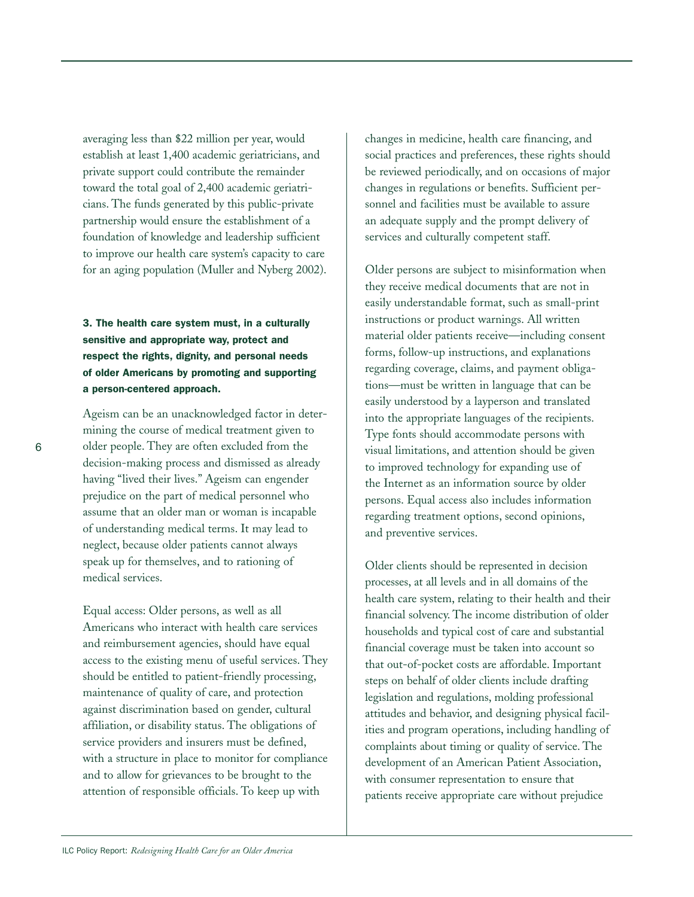averaging less than \$22 million per year, would establish at least 1,400 academic geriatricians, and private support could contribute the remainder toward the total goal of 2,400 academic geriatricians. The funds generated by this public-private partnership would ensure the establishment of a foundation of knowledge and leadership sufficient to improve our health care system's capacity to care for an aging population (Muller and Nyberg 2002).

**3. The health care system must, in a culturally sensitive and appropriate way, protect and respect the rights, dignity, and personal needs of older Americans by promoting and supporting a person-centered approach.**

Ageism can be an unacknowledged factor in determining the course of medical treatment given to older people. They are often excluded from the decision-making process and dismissed as already having "lived their lives." Ageism can engender prejudice on the part of medical personnel who assume that an older man or woman is incapable of understanding medical terms. It may lead to neglect, because older patients cannot always speak up for themselves, and to rationing of medical services.

Equal access: Older persons, as well as all Americans who interact with health care services and reimbursement agencies, should have equal access to the existing menu of useful services. They should be entitled to patient-friendly processing, maintenance of quality of care, and protection against discrimination based on gender, cultural affiliation, or disability status. The obligations of service providers and insurers must be defined, with a structure in place to monitor for compliance and to allow for grievances to be brought to the attention of responsible officials. To keep up with

changes in medicine, health care financing, and social practices and preferences, these rights should be reviewed periodically, and on occasions of major changes in regulations or benefits. Sufficient personnel and facilities must be available to assure an adequate supply and the prompt delivery of services and culturally competent staff.

Older persons are subject to misinformation when they receive medical documents that are not in easily understandable format, such as small-print instructions or product warnings. All written material older patients receive—including consent forms, follow-up instructions, and explanations regarding coverage, claims, and payment obligations—must be written in language that can be easily understood by a layperson and translated into the appropriate languages of the recipients. Type fonts should accommodate persons with visual limitations, and attention should be given to improved technology for expanding use of the Internet as an information source by older persons. Equal access also includes information regarding treatment options, second opinions, and preventive services.

Older clients should be represented in decision processes, at all levels and in all domains of the health care system, relating to their health and their financial solvency. The income distribution of older households and typical cost of care and substantial financial coverage must be taken into account so that out-of-pocket costs are affordable. Important steps on behalf of older clients include drafting legislation and regulations, molding professional attitudes and behavior, and designing physical facilities and program operations, including handling of complaints about timing or quality of service. The development of an American Patient Association, with consumer representation to ensure that patients receive appropriate care without prejudice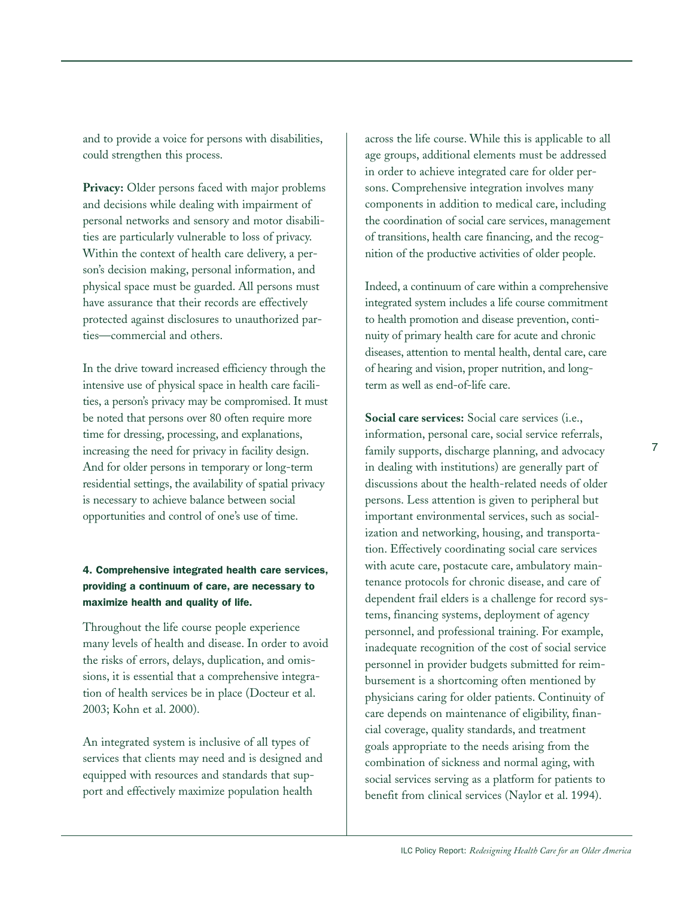and to provide a voice for persons with disabilities, could strengthen this process.

**Privacy:** Older persons faced with major problems and decisions while dealing with impairment of personal networks and sensory and motor disabilities are particularly vulnerable to loss of privacy. Within the context of health care delivery, a person's decision making, personal information, and physical space must be guarded. All persons must have assurance that their records are effectively protected against disclosures to unauthorized parties—commercial and others.

In the drive toward increased efficiency through the intensive use of physical space in health care facilities, a person's privacy may be compromised. It must be noted that persons over 80 often require more time for dressing, processing, and explanations, increasing the need for privacy in facility design. And for older persons in temporary or long-term residential settings, the availability of spatial privacy is necessary to achieve balance between social opportunities and control of one's use of time.

#### **4. Comprehensive integrated health care services, providing a continuum of care, are necessary to maximize health and quality of life.**

Throughout the life course people experience many levels of health and disease. In order to avoid the risks of errors, delays, duplication, and omissions, it is essential that a comprehensive integration of health services be in place (Docteur et al. 2003; Kohn et al. 2000).

An integrated system is inclusive of all types of services that clients may need and is designed and equipped with resources and standards that support and effectively maximize population health

across the life course. While this is applicable to all age groups, additional elements must be addressed in order to achieve integrated care for older persons. Comprehensive integration involves many components in addition to medical care, including the coordination of social care services, management of transitions, health care financing, and the recognition of the productive activities of older people.

Indeed, a continuum of care within a comprehensive integrated system includes a life course commitment to health promotion and disease prevention, continuity of primary health care for acute and chronic diseases, attention to mental health, dental care, care of hearing and vision, proper nutrition, and longterm as well as end-of-life care.

**Social care services:** Social care services (i.e., information, personal care, social service referrals, family supports, discharge planning, and advocacy in dealing with institutions) are generally part of discussions about the health-related needs of older persons. Less attention is given to peripheral but important environmental services, such as socialization and networking, housing, and transportation. Effectively coordinating social care services with acute care, postacute care, ambulatory maintenance protocols for chronic disease, and care of dependent frail elders is a challenge for record systems, financing systems, deployment of agency personnel, and professional training. For example, inadequate recognition of the cost of social service personnel in provider budgets submitted for reimbursement is a shortcoming often mentioned by physicians caring for older patients. Continuity of care depends on maintenance of eligibility, financial coverage, quality standards, and treatment goals appropriate to the needs arising from the combination of sickness and normal aging, with social services serving as a platform for patients to benefit from clinical services (Naylor et al. 1994).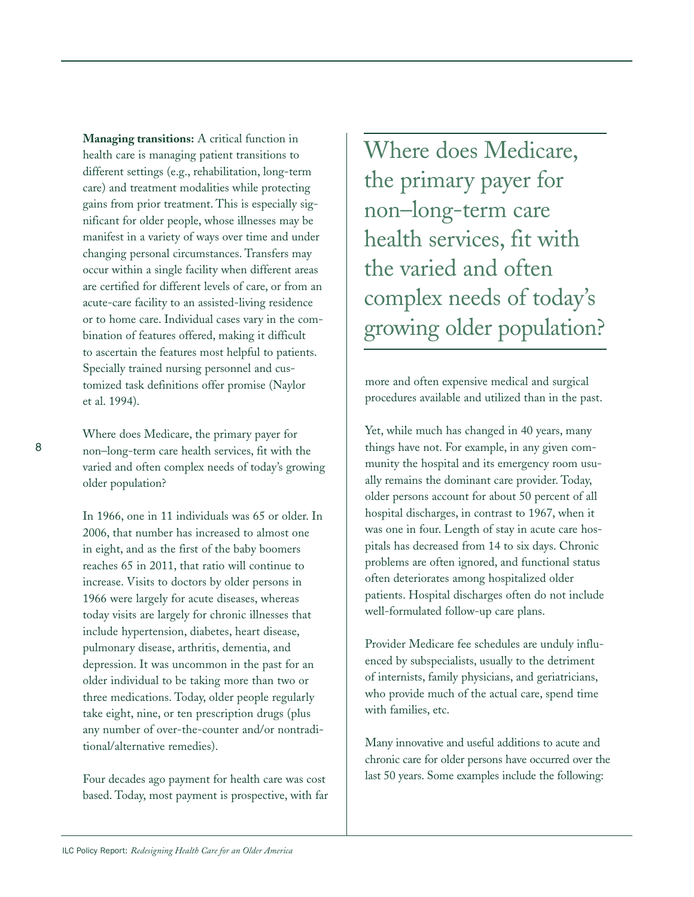**Managing transitions:** A critical function in health care is managing patient transitions to different settings (e.g., rehabilitation, long-term care) and treatment modalities while protecting gains from prior treatment. This is especially significant for older people, whose illnesses may be manifest in a variety of ways over time and under changing personal circumstances. Transfers may occur within a single facility when different areas are certified for different levels of care, or from an acute-care facility to an assisted-living residence or to home care. Individual cases vary in the combination of features offered, making it difficult to ascertain the features most helpful to patients. Specially trained nursing personnel and customized task definitions offer promise (Naylor et al. 1994).

Where does Medicare, the primary payer for non–long-term care health services, fit with the varied and often complex needs of today's growing older population?

In 1966, one in 11 individuals was 65 or older. In 2006, that number has increased to almost one in eight, and as the first of the baby boomers reaches 65 in 2011, that ratio will continue to increase. Visits to doctors by older persons in 1966 were largely for acute diseases, whereas today visits are largely for chronic illnesses that include hypertension, diabetes, heart disease, pulmonary disease, arthritis, dementia, and depression. It was uncommon in the past for an older individual to be taking more than two or three medications. Today, older people regularly take eight, nine, or ten prescription drugs (plus any number of over-the-counter and/or nontraditional/alternative remedies).

Four decades ago payment for health care was cost based. Today, most payment is prospective, with far Where does Medicare, the primary payer for non–long-term care health services, fit with the varied and often complex needs of today's growing older population?

more and often expensive medical and surgical procedures available and utilized than in the past.

Yet, while much has changed in 40 years, many things have not. For example, in any given community the hospital and its emergency room usually remains the dominant care provider. Today, older persons account for about 50 percent of all hospital discharges, in contrast to 1967, when it was one in four. Length of stay in acute care hospitals has decreased from 14 to six days. Chronic problems are often ignored, and functional status often deteriorates among hospitalized older patients. Hospital discharges often do not include well-formulated follow-up care plans.

Provider Medicare fee schedules are unduly influenced by subspecialists, usually to the detriment of internists, family physicians, and geriatricians, who provide much of the actual care, spend time with families, etc.

Many innovative and useful additions to acute and chronic care for older persons have occurred over the last 50 years. Some examples include the following: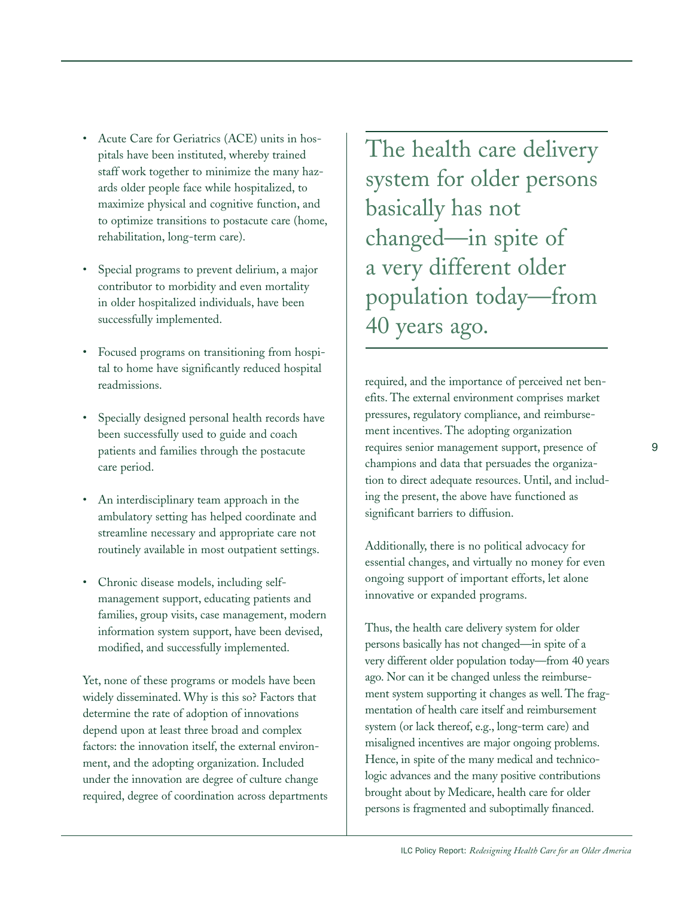- Acute Care for Geriatrics (ACE) units in hospitals have been instituted, whereby trained staff work together to minimize the many hazards older people face while hospitalized, to maximize physical and cognitive function, and to optimize transitions to postacute care (home, rehabilitation, long-term care).
- Special programs to prevent delirium, a major contributor to morbidity and even mortality in older hospitalized individuals, have been successfully implemented.
- Focused programs on transitioning from hospital to home have significantly reduced hospital readmissions.
- Specially designed personal health records have been successfully used to guide and coach patients and families through the postacute care period.
- An interdisciplinary team approach in the ambulatory setting has helped coordinate and streamline necessary and appropriate care not routinely available in most outpatient settings.
- Chronic disease models, including selfmanagement support, educating patients and families, group visits, case management, modern information system support, have been devised, modified, and successfully implemented.

Yet, none of these programs or models have been widely disseminated. Why is this so? Factors that determine the rate of adoption of innovations depend upon at least three broad and complex factors: the innovation itself, the external environment, and the adopting organization. Included under the innovation are degree of culture change required, degree of coordination across departments The health care delivery system for older persons basically has not changed—in spite of a very different older population today—from 40 years ago.

required, and the importance of perceived net benefits. The external environment comprises market pressures, regulatory compliance, and reimbursement incentives. The adopting organization requires senior management support, presence of champions and data that persuades the organization to direct adequate resources. Until, and including the present, the above have functioned as significant barriers to diffusion.

Additionally, there is no political advocacy for essential changes, and virtually no money for even ongoing support of important efforts, let alone innovative or expanded programs.

Thus, the health care delivery system for older persons basically has not changed—in spite of a very different older population today—from 40 years ago. Nor can it be changed unless the reimbursement system supporting it changes as well. The fragmentation of health care itself and reimbursement system (or lack thereof, e.g., long-term care) and misaligned incentives are major ongoing problems. Hence, in spite of the many medical and technicologic advances and the many positive contributions brought about by Medicare, health care for older persons is fragmented and suboptimally financed.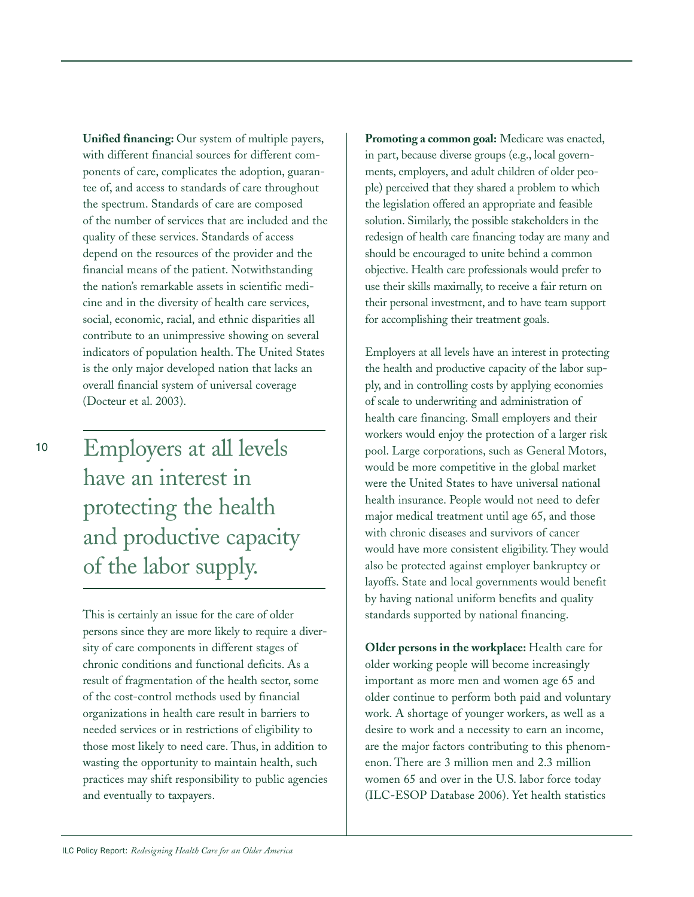**Unified financing:** Our system of multiple payers, with different financial sources for different components of care, complicates the adoption, guarantee of, and access to standards of care throughout the spectrum. Standards of care are composed of the number of services that are included and the quality of these services. Standards of access depend on the resources of the provider and the financial means of the patient. Notwithstanding the nation's remarkable assets in scientific medicine and in the diversity of health care services, social, economic, racial, and ethnic disparities all contribute to an unimpressive showing on several indicators of population health. The United States is the only major developed nation that lacks an overall financial system of universal coverage (Docteur et al. 2003).

Employers at all levels have an interest in protecting the health and productive capacity of the labor supply.

This is certainly an issue for the care of older persons since they are more likely to require a diversity of care components in different stages of chronic conditions and functional deficits. As a result of fragmentation of the health sector, some of the cost-control methods used by financial organizations in health care result in barriers to needed services or in restrictions of eligibility to those most likely to need care. Thus, in addition to wasting the opportunity to maintain health, such practices may shift responsibility to public agencies and eventually to taxpayers.

**Promoting a common goal:** Medicare was enacted, in part, because diverse groups (e.g., local governments, employers, and adult children of older people) perceived that they shared a problem to which the legislation offered an appropriate and feasible solution. Similarly, the possible stakeholders in the redesign of health care financing today are many and should be encouraged to unite behind a common objective. Health care professionals would prefer to use their skills maximally, to receive a fair return on their personal investment, and to have team support for accomplishing their treatment goals.

Employers at all levels have an interest in protecting the health and productive capacity of the labor supply, and in controlling costs by applying economies of scale to underwriting and administration of health care financing. Small employers and their workers would enjoy the protection of a larger risk pool. Large corporations, such as General Motors, would be more competitive in the global market were the United States to have universal national health insurance. People would not need to defer major medical treatment until age 65, and those with chronic diseases and survivors of cancer would have more consistent eligibility. They would also be protected against employer bankruptcy or layoffs. State and local governments would benefit by having national uniform benefits and quality standards supported by national financing.

**Older persons in the workplace:** Health care for older working people will become increasingly important as more men and women age 65 and older continue to perform both paid and voluntary work. A shortage of younger workers, as well as a desire to work and a necessity to earn an income, are the major factors contributing to this phenomenon. There are 3 million men and 2.3 million women 65 and over in the U.S. labor force today (ILC-ESOP Database 2006). Yet health statistics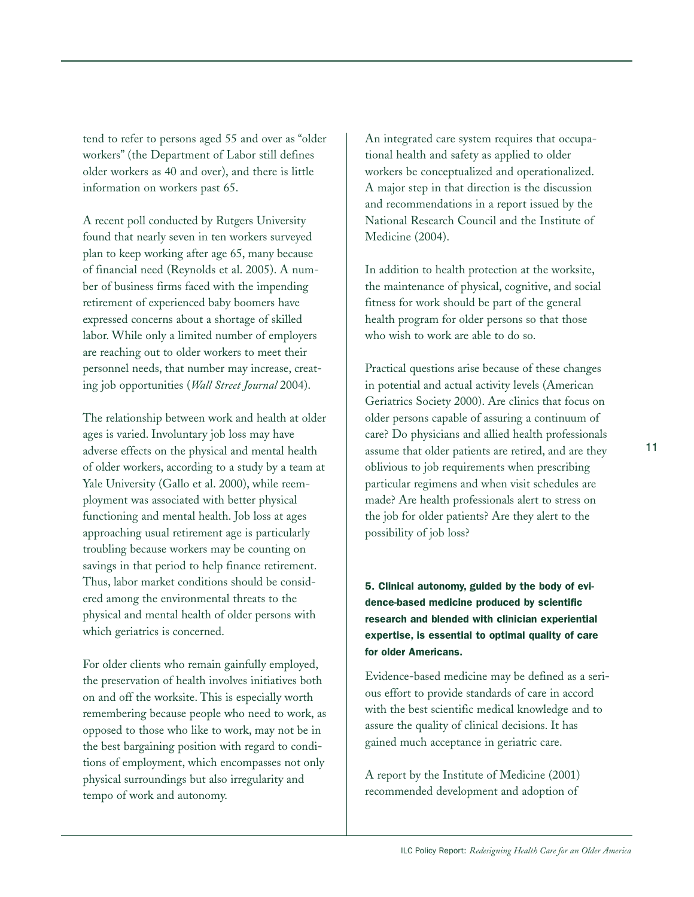tend to refer to persons aged 55 and over as "older workers" (the Department of Labor still defines older workers as 40 and over), and there is little information on workers past 65.

A recent poll conducted by Rutgers University found that nearly seven in ten workers surveyed plan to keep working after age 65, many because of financial need (Reynolds et al. 2005). A number of business firms faced with the impending retirement of experienced baby boomers have expressed concerns about a shortage of skilled labor. While only a limited number of employers are reaching out to older workers to meet their personnel needs, that number may increase, creating job opportunities (*Wall Street Journal* 2004).

The relationship between work and health at older ages is varied. Involuntary job loss may have adverse effects on the physical and mental health of older workers, according to a study by a team at Yale University (Gallo et al. 2000), while reemployment was associated with better physical functioning and mental health. Job loss at ages approaching usual retirement age is particularly troubling because workers may be counting on savings in that period to help finance retirement. Thus, labor market conditions should be considered among the environmental threats to the physical and mental health of older persons with which geriatrics is concerned.

For older clients who remain gainfully employed, the preservation of health involves initiatives both on and off the worksite. This is especially worth remembering because people who need to work, as opposed to those who like to work, may not be in the best bargaining position with regard to conditions of employment, which encompasses not only physical surroundings but also irregularity and tempo of work and autonomy.

An integrated care system requires that occupational health and safety as applied to older workers be conceptualized and operationalized. A major step in that direction is the discussion and recommendations in a report issued by the National Research Council and the Institute of Medicine (2004).

In addition to health protection at the worksite, the maintenance of physical, cognitive, and social fitness for work should be part of the general health program for older persons so that those who wish to work are able to do so.

Practical questions arise because of these changes in potential and actual activity levels (American Geriatrics Society 2000). Are clinics that focus on older persons capable of assuring a continuum of care? Do physicians and allied health professionals assume that older patients are retired, and are they oblivious to job requirements when prescribing particular regimens and when visit schedules are made? Are health professionals alert to stress on the job for older patients? Are they alert to the possibility of job loss?

**5. Clinical autonomy, guided by the body of evidence-based medicine produced by scientific research and blended with clinician experiential expertise, is essential to optimal quality of care for older Americans.** 

Evidence-based medicine may be defined as a serious effort to provide standards of care in accord with the best scientific medical knowledge and to assure the quality of clinical decisions. It has gained much acceptance in geriatric care.

A report by the Institute of Medicine (2001) recommended development and adoption of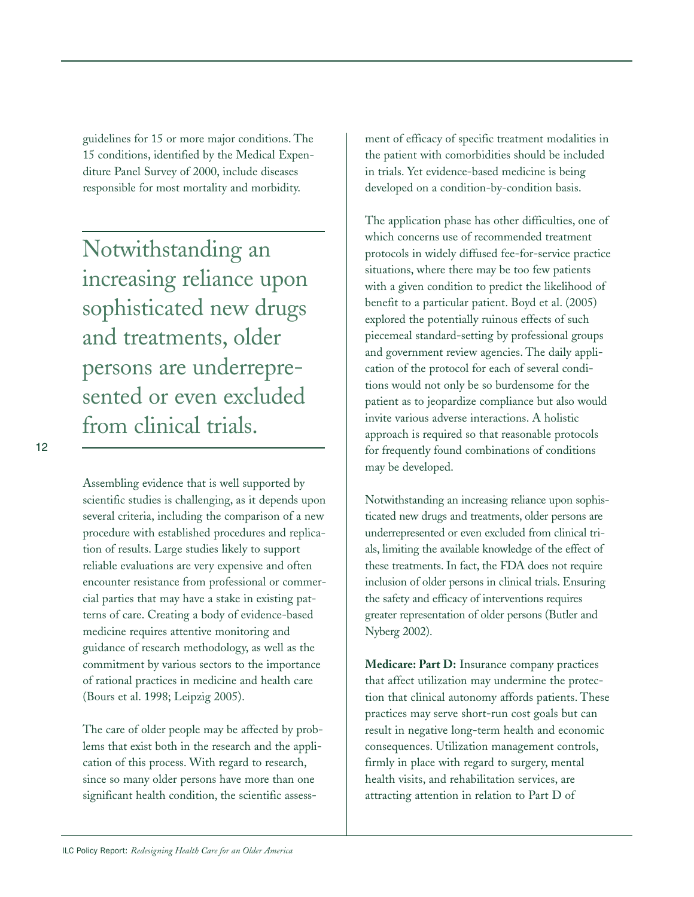guidelines for 15 or more major conditions. The 15 conditions, identified by the Medical Expenditure Panel Survey of 2000, include diseases responsible for most mortality and morbidity.

Notwithstanding an increasing reliance upon sophisticated new drugs and treatments, older persons are underrepresented or even excluded from clinical trials.

12

Assembling evidence that is well supported by scientific studies is challenging, as it depends upon several criteria, including the comparison of a new procedure with established procedures and replication of results. Large studies likely to support reliable evaluations are very expensive and often encounter resistance from professional or commercial parties that may have a stake in existing patterns of care. Creating a body of evidence-based medicine requires attentive monitoring and guidance of research methodology, as well as the commitment by various sectors to the importance of rational practices in medicine and health care (Bours et al. 1998; Leipzig 2005).

The care of older people may be affected by problems that exist both in the research and the application of this process. With regard to research, since so many older persons have more than one significant health condition, the scientific assessment of efficacy of specific treatment modalities in the patient with comorbidities should be included in trials. Yet evidence-based medicine is being developed on a condition-by-condition basis.

The application phase has other difficulties, one of which concerns use of recommended treatment protocols in widely diffused fee-for-service practice situations, where there may be too few patients with a given condition to predict the likelihood of benefit to a particular patient. Boyd et al. (2005) explored the potentially ruinous effects of such piecemeal standard-setting by professional groups and government review agencies. The daily application of the protocol for each of several conditions would not only be so burdensome for the patient as to jeopardize compliance but also would invite various adverse interactions. A holistic approach is required so that reasonable protocols for frequently found combinations of conditions may be developed.

Notwithstanding an increasing reliance upon sophisticated new drugs and treatments, older persons are underrepresented or even excluded from clinical trials, limiting the available knowledge of the effect of these treatments. In fact, the FDA does not require inclusion of older persons in clinical trials. Ensuring the safety and efficacy of interventions requires greater representation of older persons (Butler and Nyberg 2002).

**Medicare: Part D:** Insurance company practices that affect utilization may undermine the protection that clinical autonomy affords patients. These practices may serve short-run cost goals but can result in negative long-term health and economic consequences. Utilization management controls, firmly in place with regard to surgery, mental health visits, and rehabilitation services, are attracting attention in relation to Part D of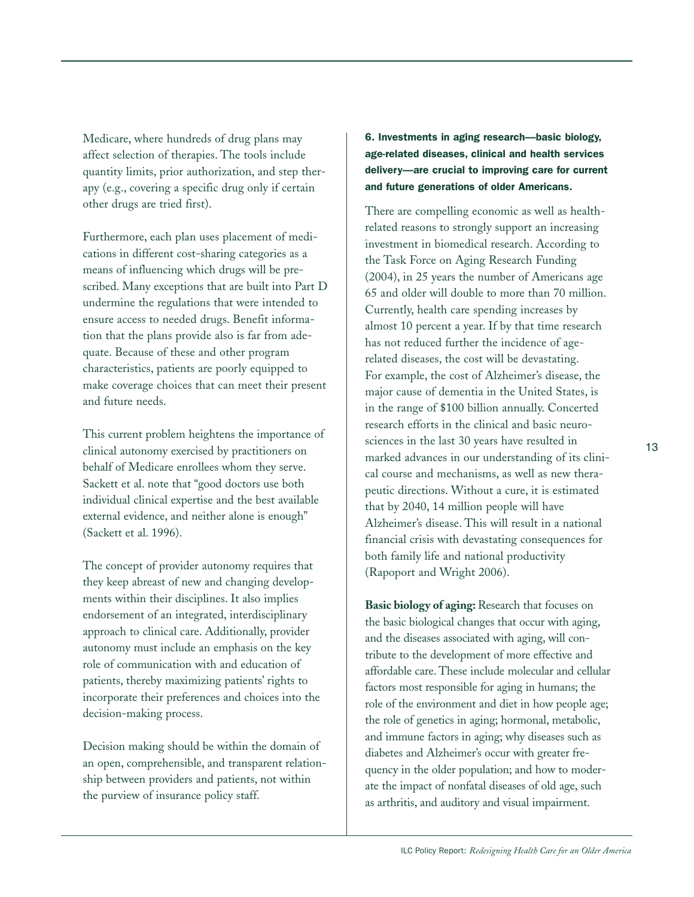Medicare, where hundreds of drug plans may affect selection of therapies. The tools include quantity limits, prior authorization, and step therapy (e.g., covering a specific drug only if certain other drugs are tried first).

Furthermore, each plan uses placement of medications in different cost-sharing categories as a means of influencing which drugs will be prescribed. Many exceptions that are built into Part D undermine the regulations that were intended to ensure access to needed drugs. Benefit information that the plans provide also is far from adequate. Because of these and other program characteristics, patients are poorly equipped to make coverage choices that can meet their present and future needs.

This current problem heightens the importance of clinical autonomy exercised by practitioners on behalf of Medicare enrollees whom they serve. Sackett et al. note that "good doctors use both individual clinical expertise and the best available external evidence, and neither alone is enough" (Sackett et al. 1996).

The concept of provider autonomy requires that they keep abreast of new and changing developments within their disciplines. It also implies endorsement of an integrated, interdisciplinary approach to clinical care. Additionally, provider autonomy must include an emphasis on the key role of communication with and education of patients, thereby maximizing patients' rights to incorporate their preferences and choices into the decision-making process.

Decision making should be within the domain of an open, comprehensible, and transparent relationship between providers and patients, not within the purview of insurance policy staff.

**6. Investments in aging research—basic biology, age-related diseases, clinical and health services delivery—are crucial to improving care for current and future generations of older Americans.** 

There are compelling economic as well as healthrelated reasons to strongly support an increasing investment in biomedical research. According to the Task Force on Aging Research Funding (2004), in 25 years the number of Americans age 65 and older will double to more than 70 million. Currently, health care spending increases by almost 10 percent a year. If by that time research has not reduced further the incidence of agerelated diseases, the cost will be devastating. For example, the cost of Alzheimer's disease, the major cause of dementia in the United States, is in the range of \$100 billion annually. Concerted research efforts in the clinical and basic neurosciences in the last 30 years have resulted in marked advances in our understanding of its clinical course and mechanisms, as well as new therapeutic directions. Without a cure, it is estimated that by 2040, 14 million people will have Alzheimer's disease. This will result in a national financial crisis with devastating consequences for both family life and national productivity (Rapoport and Wright 2006).

Basic biology of aging: Research that focuses on the basic biological changes that occur with aging, and the diseases associated with aging, will contribute to the development of more effective and affordable care. These include molecular and cellular factors most responsible for aging in humans; the role of the environment and diet in how people age; the role of genetics in aging; hormonal, metabolic, and immune factors in aging; why diseases such as diabetes and Alzheimer's occur with greater frequency in the older population; and how to moderate the impact of nonfatal diseases of old age, such as arthritis, and auditory and visual impairment.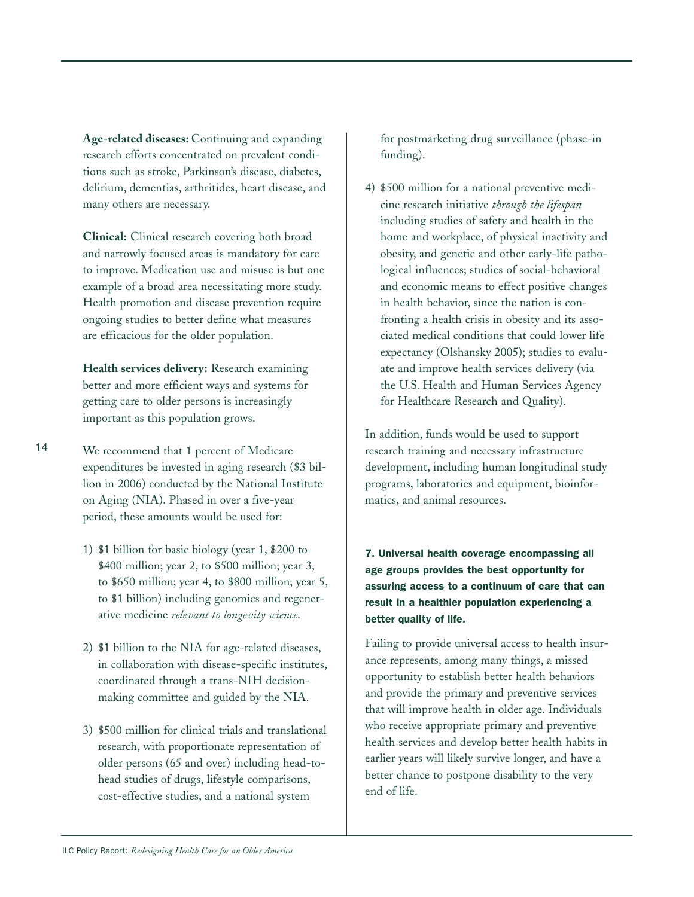**Age-related diseases:** Continuing and expanding research efforts concentrated on prevalent conditions such as stroke, Parkinson's disease, diabetes, delirium, dementias, arthritides, heart disease, and many others are necessary.

**Clinical:** Clinical research covering both broad and narrowly focused areas is mandatory for care to improve. Medication use and misuse is but one example of a broad area necessitating more study. Health promotion and disease prevention require ongoing studies to better define what measures are efficacious for the older population.

**Health services delivery:** Research examining better and more efficient ways and systems for getting care to older persons is increasingly important as this population grows.

We recommend that 1 percent of Medicare expenditures be invested in aging research (\$3 billion in 2006) conducted by the National Institute on Aging (NIA). Phased in over a five-year period, these amounts would be used for:

- 1) \$1 billion for basic biology (year 1, \$200 to \$400 million; year 2, to \$500 million; year 3, to \$650 million; year 4, to \$800 million; year 5, to \$1 billion) including genomics and regenerative medicine *relevant to longevity science*.
- 2) \$1 billion to the NIA for age-related diseases, in collaboration with disease-specific institutes, coordinated through a trans-NIH decisionmaking committee and guided by the NIA.
- 3) \$500 million for clinical trials and translational research, with proportionate representation of older persons (65 and over) including head-tohead studies of drugs, lifestyle comparisons, cost-effective studies, and a national system

for postmarketing drug surveillance (phase-in funding).

4) \$500 million for a national preventive medicine research initiative *through the lifespan* including studies of safety and health in the home and workplace, of physical inactivity and obesity, and genetic and other early-life pathological influences; studies of social-behavioral and economic means to effect positive changes in health behavior, since the nation is confronting a health crisis in obesity and its associated medical conditions that could lower life expectancy (Olshansky 2005); studies to evaluate and improve health services delivery (via the U.S. Health and Human Services Agency for Healthcare Research and Quality).

In addition, funds would be used to support research training and necessary infrastructure development, including human longitudinal study programs, laboratories and equipment, bioinformatics, and animal resources.

**7. Universal health coverage encompassing all age groups provides the best opportunity for assuring access to a continuum of care that can result in a healthier population experiencing a better quality of life.** 

Failing to provide universal access to health insurance represents, among many things, a missed opportunity to establish better health behaviors and provide the primary and preventive services that will improve health in older age. Individuals who receive appropriate primary and preventive health services and develop better health habits in earlier years will likely survive longer, and have a better chance to postpone disability to the very end of life.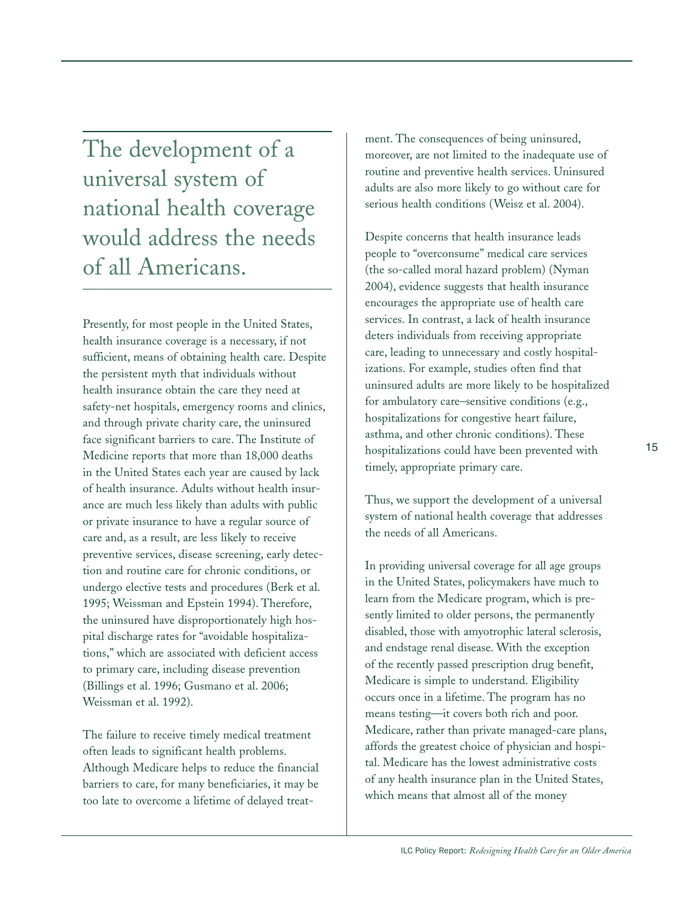The development of a universal system of national health coverage would address the needs of all Americans.

Presently, for most people in the United States, health insurance coverage is a necessary, if not sufficient, means of obtaining health care. Despite the persistent myth that individuals without health insurance obtain the care they need at safety-net hospitals, emergency rooms and clinics, and through private charity care, the uninsured face significant barriers to care. The Institute of Medicine reports that more than 18,000 deaths in the United States each year are caused by lack of health insurance. Adults without health insurance are much less likely than adults with public or private insurance to have a regular source of care and, as a result, are less likely to receive preventive services, disease screening, early detection and routine care for chronic conditions, or undergo elective tests and procedures (Berk et al. 1995; Weissman and Epstein 1994). Therefore, the uninsured have disproportionately high hospital discharge rates for "avoidable hospitalizations," which are associated with deficient access to primary care, including disease prevention (Billings et al. 1996; Gusmano et al. 2006; Weissman et al. 1992).

The failure to receive timely medical treatment often leads to significant health problems. Although Medicare helps to reduce the financial barriers to care, for many beneficiaries, it may be too late to overcome a lifetime of delayed treatment. The consequences of being uninsured, moreover, are not limited to the inadequate use of routine and preventive health services. Uninsured adults are also more likely to go without care for serious health conditions (Weisz et al. 2004).

Despite concerns that health insurance leads people to "overconsume" medical care services (the so-called moral hazard problem) (Nyman 2004), evidence suggests that health insurance encourages the appropriate use of health care services. In contrast, a lack of health insurance deters individuals from receiving appropriate care, leading to unnecessary and costly hospitalizations. For example, studies often find that uninsured adults are more likely to be hospitalized for ambulatory care–sensitive conditions (e.g., hospitalizations for congestive heart failure, asthma, and other chronic conditions). These hospitalizations could have been prevented with timely, appropriate primary care.

Thus, we support the development of a universal system of national health coverage that addresses the needs of all Americans.

In providing universal coverage for all age groups in the United States, policymakers have much to learn from the Medicare program, which is presently limited to older persons, the permanently disabled, those with amyotrophic lateral sclerosis, and endstage renal disease. With the exception of the recently passed prescription drug benefit, Medicare is simple to understand. Eligibility occurs once in a lifetime. The program has no means testing—it covers both rich and poor. Medicare, rather than private managed-care plans, affords the greatest choice of physician and hospital. Medicare has the lowest administrative costs of any health insurance plan in the United States, which means that almost all of the money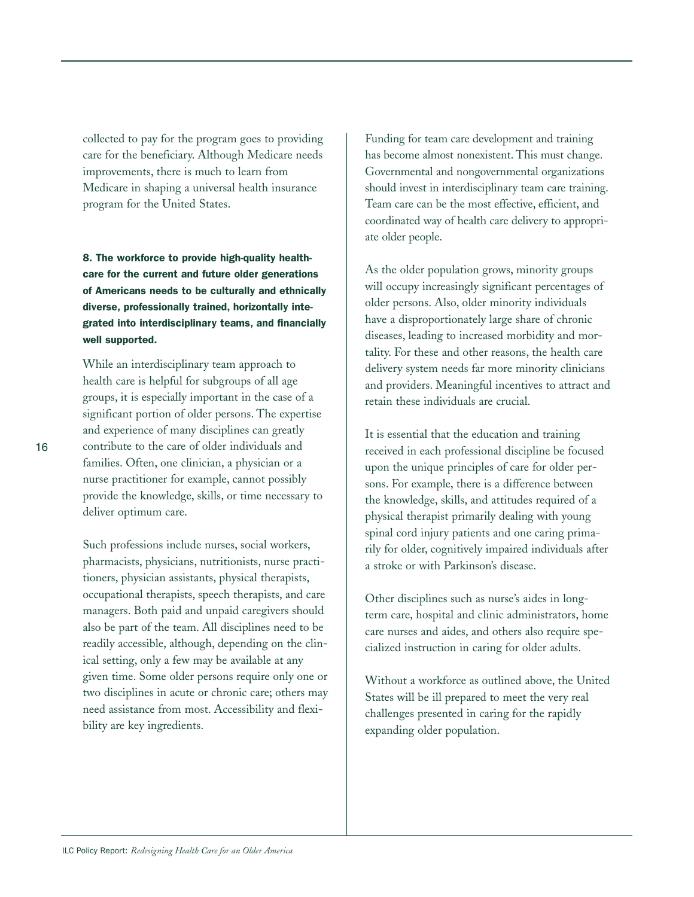collected to pay for the program goes to providing care for the beneficiary. Although Medicare needs improvements, there is much to learn from Medicare in shaping a universal health insurance program for the United States.

**8. The workforce to provide high-quality healthcare for the current and future older generations of Americans needs to be culturally and ethnically diverse, professionally trained, horizontally integrated into interdisciplinary teams, and financially well supported.**

While an interdisciplinary team approach to health care is helpful for subgroups of all age groups, it is especially important in the case of a significant portion of older persons. The expertise and experience of many disciplines can greatly contribute to the care of older individuals and families. Often, one clinician, a physician or a nurse practitioner for example, cannot possibly provide the knowledge, skills, or time necessary to deliver optimum care.

Such professions include nurses, social workers, pharmacists, physicians, nutritionists, nurse practitioners, physician assistants, physical therapists, occupational therapists, speech therapists, and care managers. Both paid and unpaid caregivers should also be part of the team. All disciplines need to be readily accessible, although, depending on the clinical setting, only a few may be available at any given time. Some older persons require only one or two disciplines in acute or chronic care; others may need assistance from most. Accessibility and flexibility are key ingredients.

Funding for team care development and training has become almost nonexistent. This must change. Governmental and nongovernmental organizations should invest in interdisciplinary team care training. Team care can be the most effective, efficient, and coordinated way of health care delivery to appropriate older people.

As the older population grows, minority groups will occupy increasingly significant percentages of older persons. Also, older minority individuals have a disproportionately large share of chronic diseases, leading to increased morbidity and mortality. For these and other reasons, the health care delivery system needs far more minority clinicians and providers. Meaningful incentives to attract and retain these individuals are crucial.

It is essential that the education and training received in each professional discipline be focused upon the unique principles of care for older persons. For example, there is a difference between the knowledge, skills, and attitudes required of a physical therapist primarily dealing with young spinal cord injury patients and one caring primarily for older, cognitively impaired individuals after a stroke or with Parkinson's disease.

Other disciplines such as nurse's aides in longterm care, hospital and clinic administrators, home care nurses and aides, and others also require specialized instruction in caring for older adults.

Without a workforce as outlined above, the United States will be ill prepared to meet the very real challenges presented in caring for the rapidly expanding older population.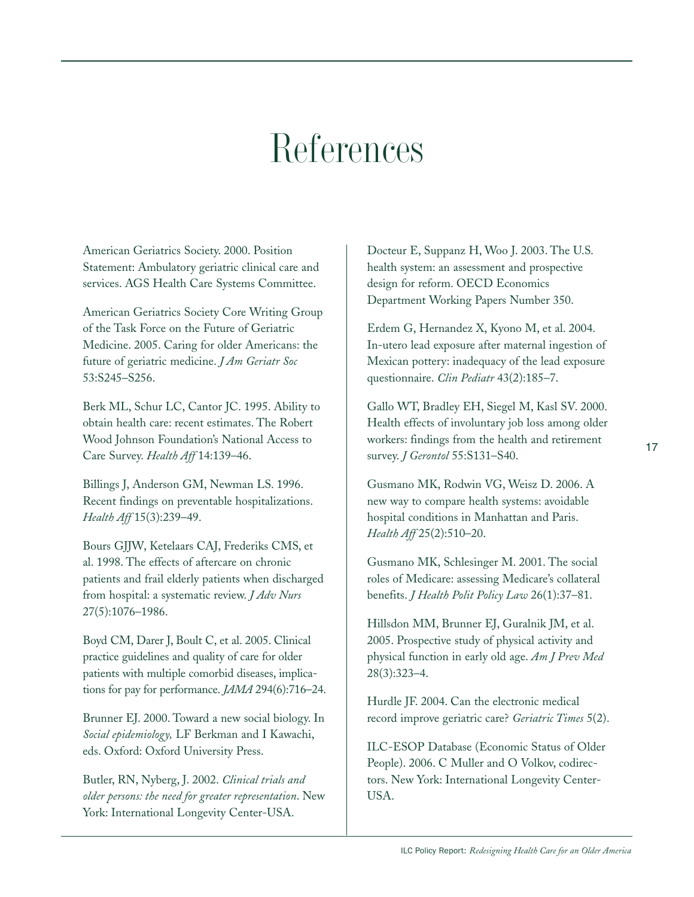### References

American Geriatrics Society. 2000. Position Statement: Ambulatory geriatric clinical care and services. AGS Health Care Systems Committee.

American Geriatrics Society Core Writing Group of the Task Force on the Future of Geriatric Medicine. 2005. Caring for older Americans: the future of geriatric medicine. *J Am Geriatr Soc* 53:S245–S256.

Berk ML, Schur LC, Cantor JC. 1995. Ability to obtain health care: recent estimates. The Robert Wood Johnson Foundation's National Access to Care Survey. *Health Aff* 14:139–46.

Billings J, Anderson GM, Newman LS. 1996. Recent findings on preventable hospitalizations. *Health Aff* 15(3):239–49.

Bours GJJW, Ketelaars CAJ, Frederiks CMS, et al. 1998. The effects of aftercare on chronic patients and frail elderly patients when discharged from hospital: a systematic review. *J Adv Nurs* 27(5):1076–1986.

Boyd CM, Darer J, Boult C, et al. 2005. Clinical practice guidelines and quality of care for older patients with multiple comorbid diseases, implications for pay for performance. *JAMA* 294(6):716–24.

Brunner EJ. 2000. Toward a new social biology. In *Social epidemiology,* LF Berkman and I Kawachi, eds. Oxford: Oxford University Press.

Butler, RN, Nyberg, J. 2002. *Clinical trials and older persons: the need for greater representation*. New York: International Longevity Center-USA.

Docteur E, Suppanz H, Woo J. 2003. The U.S. health system: an assessment and prospective design for reform. OECD Economics Department Working Papers Number 350.

Erdem G, Hernandez X, Kyono M, et al. 2004. In-utero lead exposure after maternal ingestion of Mexican pottery: inadequacy of the lead exposure questionnaire. *Clin Pediatr* 43(2):185–7.

Gallo WT, Bradley EH, Siegel M, Kasl SV. 2000. Health effects of involuntary job loss among older workers: findings from the health and retirement survey. *J Gerontol* 55:S131–S40.

Gusmano MK, Rodwin VG, Weisz D. 2006. A new way to compare health systems: avoidable hospital conditions in Manhattan and Paris. *Health Aff* 25(2):510–20.

Gusmano MK, Schlesinger M. 2001. The social roles of Medicare: assessing Medicare's collateral benefits. *J Health Polit Policy Law* 26(1):37–81.

Hillsdon MM, Brunner EJ, Guralnik JM, et al. 2005. Prospective study of physical activity and physical function in early old age. *Am J Prev Med* 28(3):323–4.

Hurdle JF. 2004. Can the electronic medical record improve geriatric care? *Geriatric Times* 5(2).

ILC-ESOP Database (Economic Status of Older People). 2006. C Muller and O Volkov, codirectors. New York: International Longevity Center-USA.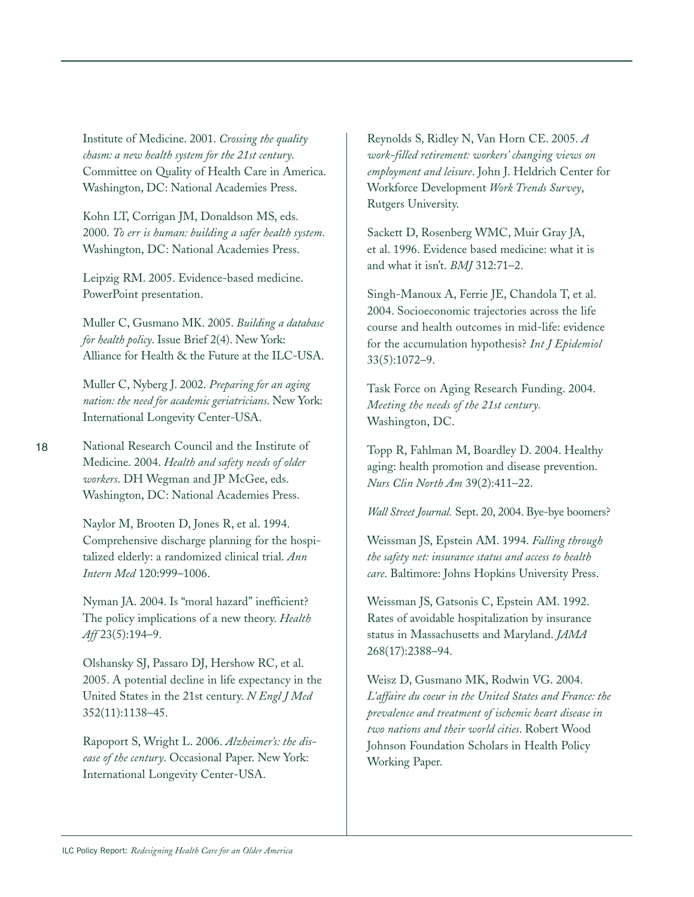Institute of Medicine. 2001. *Crossing the quality chasm: a new health system for the 21st century*. Committee on Quality of Health Care in America. Washington, DC: National Academies Press.

Kohn LT, Corrigan JM, Donaldson MS, eds. 2000. *To err is human: building a safer health system*. Washington, DC: National Academies Press.

Leipzig RM. 2005. Evidence-based medicine. PowerPoint presentation.

Muller C, Gusmano MK. 2005. *Building a database for health policy*. Issue Brief 2(4). New York: Alliance for Health & the Future at the ILC-USA.

Muller C, Nyberg J. 2002. *Preparing for an aging nation: the need for academic geriatricians*. New York: International Longevity Center-USA.

National Research Council and the Institute of Medicine. 2004. *Health and safety needs of older workers*. DH Wegman and JP McGee, eds. Washington, DC: National Academies Press.

> Naylor M, Brooten D, Jones R, et al. 1994. Comprehensive discharge planning for the hospitalized elderly: a randomized clinical trial. *Ann Intern Med* 120:999–1006.

Nyman JA. 2004. Is "moral hazard" inefficient? The policy implications of a new theory. *Health Aff* 23(5):194–9.

Olshansky SJ, Passaro DJ, Hershow RC, et al. 2005. A potential decline in life expectancy in the United States in the 21st century. *N Engl J Med* 352(11):1138–45.

Rapoport S, Wright L. 2006. *Alzheimer's: the disease of the century*. Occasional Paper. New York: International Longevity Center-USA.

Reynolds S, Ridley N, Van Horn CE. 2005. *A work-filled retirement: workers' changing views on employment and leisure*. John J. Heldrich Center for Workforce Development *Work Trends Survey*, Rutgers University.

Sackett D, Rosenberg WMC, Muir Gray JA, et al. 1996. Evidence based medicine: what it is and what it isn't. *BMJ* 312:71–2.

Singh-Manoux A, Ferrie JE, Chandola T, et al. 2004. Socioeconomic trajectories across the life course and health outcomes in mid-life: evidence for the accumulation hypothesis? *Int J Epidemiol* 33(5):1072–9.

Task Force on Aging Research Funding. 2004. *Meeting the needs of the 21st century.* Washington, DC.

Topp R, Fahlman M, Boardley D. 2004. Healthy aging: health promotion and disease prevention. *Nurs Clin North Am* 39(2):411–22.

*Wall Street Journal.* Sept. 20, 2004. Bye-bye boomers?

Weissman JS, Epstein AM. 1994. *Falling through the safety net: insurance status and access to health care*. Baltimore: Johns Hopkins University Press.

Weissman JS, Gatsonis C, Epstein AM. 1992. Rates of avoidable hospitalization by insurance status in Massachusetts and Maryland. *JAMA* 268(17):2388–94.

Weisz D, Gusmano MK, Rodwin VG. 2004. *L'affaire du coeur in the United States and France: the prevalence and treatment of ischemic heart disease in two nations and their world cities*. Robert Wood Johnson Foundation Scholars in Health Policy Working Paper.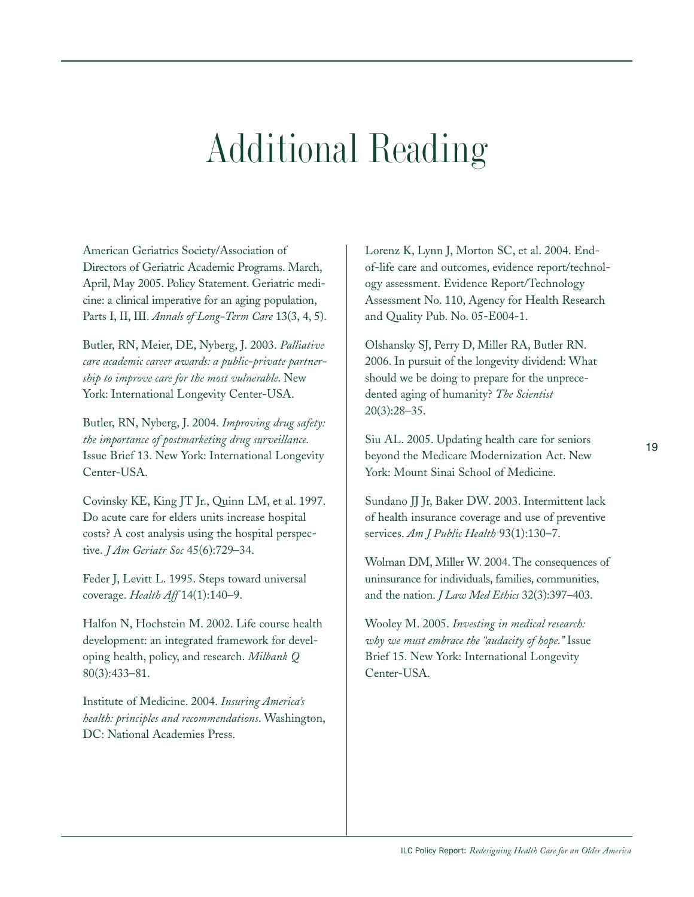## Additional Reading

American Geriatrics Society/Association of Directors of Geriatric Academic Programs. March, April, May 2005. Policy Statement. Geriatric medicine: a clinical imperative for an aging population, Parts I, II, III. *Annals of Long-Term Care* 13(3, 4, 5).

Butler, RN, Meier, DE, Nyberg, J. 2003. *Palliative care academic career awards: a public-private partnership to improve care for the most vulnerable*. New York: International Longevity Center-USA.

Butler, RN, Nyberg, J. 2004. *Improving drug safety: the importance of postmarketing drug surveillance.* Issue Brief 13. New York: International Longevity Center-USA.

Covinsky KE, King JT Jr., Quinn LM, et al. 1997. Do acute care for elders units increase hospital costs? A cost analysis using the hospital perspective. *J Am Geriatr Soc* 45(6):729–34.

Feder J, Levitt L. 1995. Steps toward universal coverage. *Health Aff* 14(1):140–9.

Halfon N, Hochstein M. 2002. Life course health development: an integrated framework for developing health, policy, and research. *Milbank Q* 80(3):433–81.

Institute of Medicine. 2004. *Insuring America's health: principles and recommendations*. Washington, DC: National Academies Press.

Lorenz K, Lynn J, Morton SC, et al. 2004. Endof-life care and outcomes, evidence report/technology assessment. Evidence Report/Technology Assessment No. 110, Agency for Health Research and Quality Pub. No. 05-E004-1.

Olshansky SJ, Perry D, Miller RA, Butler RN. 2006. In pursuit of the longevity dividend: What should we be doing to prepare for the unprecedented aging of humanity? *The Scientist* 20(3):28–35.

Siu AL. 2005. Updating health care for seniors beyond the Medicare Modernization Act. New York: Mount Sinai School of Medicine.

Sundano JJ Jr, Baker DW. 2003. Intermittent lack of health insurance coverage and use of preventive services. *Am J Public Health* 93(1):130–7.

Wolman DM, Miller W. 2004. The consequences of uninsurance for individuals, families, communities, and the nation. *J Law Med Ethics* 32(3):397–403.

Wooley M. 2005. *Investing in medical research: why we must embrace the "audacity of hope."* Issue Brief 15. New York: International Longevity Center-USA.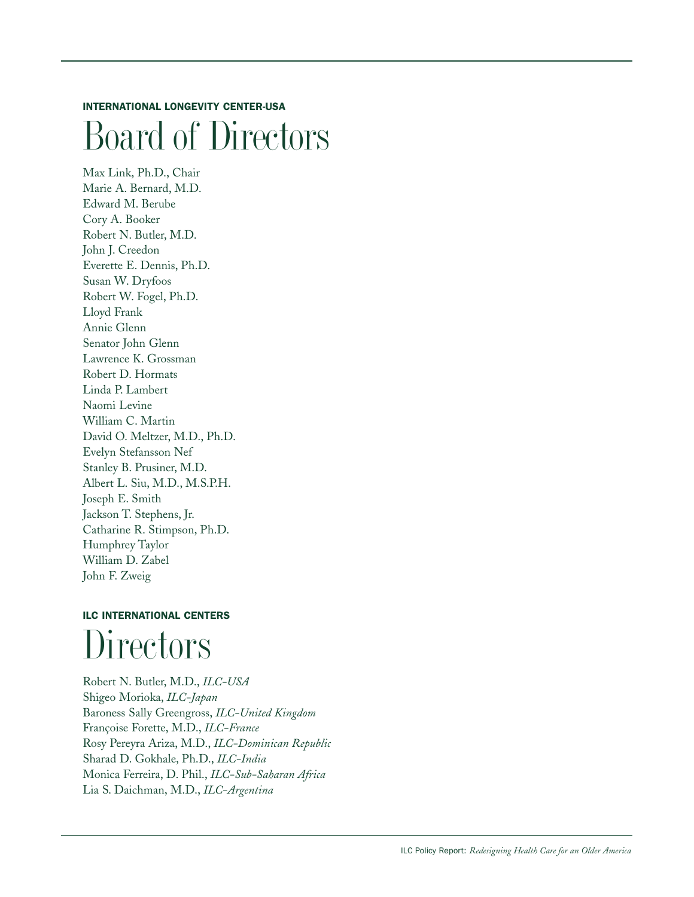#### **INTERNATIONAL LONGEVITY CENTER-USA**

### Board of Directors

Max Link, Ph.D., Chair Marie A. Bernard, M.D. Edward M. Berube Cory A. Booker Robert N. Butler, M.D. John J. Creedon Everette E. Dennis, Ph.D. Susan W. Dryfoos Robert W. Fogel, Ph.D. Lloyd Frank Annie Glenn Senator John Glenn Lawrence K. Grossman Robert D. Hormats Linda P. Lambert Naomi Levine William C. Martin David O. Meltzer, M.D., Ph.D. Evelyn Stefansson Nef Stanley B. Prusiner, M.D. Albert L. Siu, M.D., M.S.P.H. Joseph E. Smith Jackson T. Stephens, Jr. Catharine R. Stimpson, Ph.D. Humphrey Taylor William D. Zabel John F. Zweig

### **ILC INTERNATIONAL CENTERS** Directors

Robert N. Butler, M.D., *ILC-USA* Shigeo Morioka, *ILC-Japan* Baroness Sally Greengross, *ILC-United Kingdom* Françoise Forette, M.D., *ILC-France* Rosy Pereyra Ariza, M.D., *ILC-Dominican Republic* Sharad D. Gokhale, Ph.D., *ILC-India* Monica Ferreira, D. Phil., *ILC-Sub-Saharan Africa* Lia S. Daichman, M.D., *ILC-Argentina*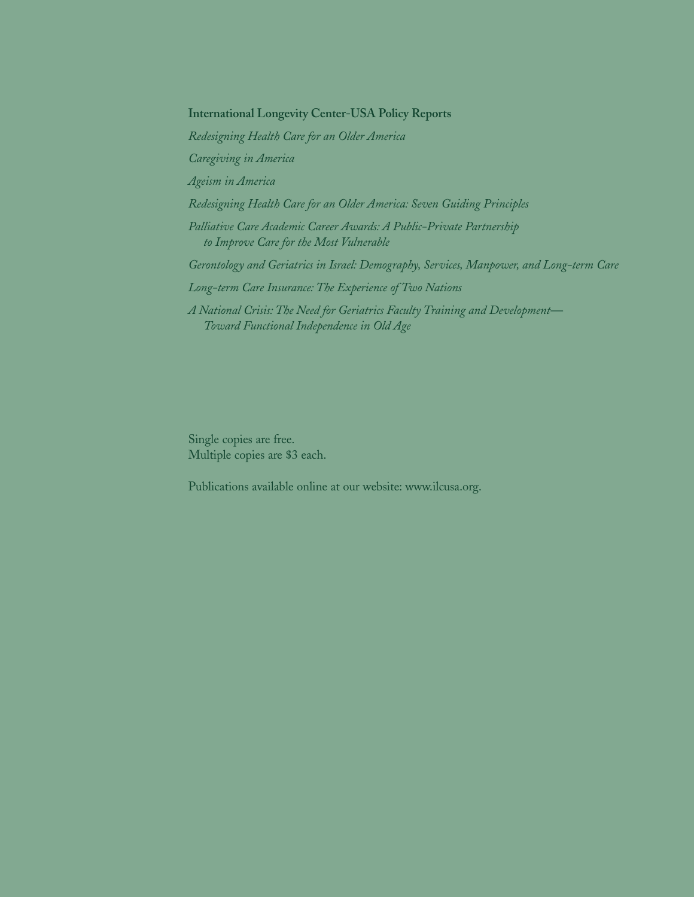**International Longevity Center-USA Policy Reports**

*Redesigning Health Care for an Older America Caregiving in America Ageism in America Redesigning Health Care for an Older America: Seven Guiding Principles Palliative Care Academic Career Awards: A Public-Private Partnership to Improve Care for the Most Vulnerable Gerontology and Geriatrics in Israel: Demography, Services, Manpower, and Long-term Care Long-term Care Insurance: The Experience of Two Nations A National Crisis: The Need for Geriatrics Faculty Training and Development— Toward Functional Independence in Old Age*

Single copies are free. Multiple copies are \$3 each.

Publications available online at our website: www.ilcusa.org.